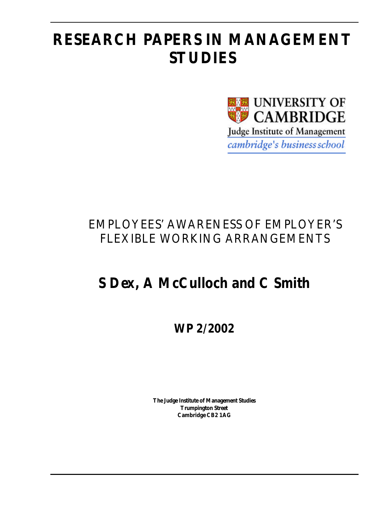# **RESEARCH PAPERS IN MANAGEMENT STUDIES**



## EMPLOYEES' AWARENESS OF EMPLOYER'S FLEXIBLE WORKING ARRANGEMENTS

# **S Dex, A McCulloch and C Smith**

**WP 2/2002**

**The Judge Institute of Management Studies Trumpington Street Cambridge CB2 1AG**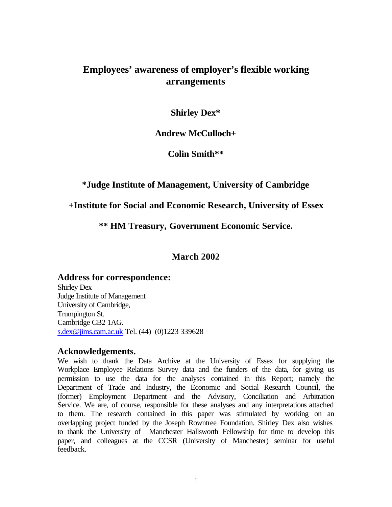## **Employees' awareness of employer's flexible working arrangements**

## **Shirley Dex\***

## **Andrew McCulloch+**

## **Colin Smith\*\***

## **\*Judge Institute of Management, University of Cambridge**

## **+Institute for Social and Economic Research, University of Essex**

## **\*\* HM Treasury, Government Economic Service.**

## **March 2002**

## **Address for correspondence:**

Shirley Dex Judge Institute of Management University of Cambridge, Trumpington St. Cambridge CB2 1AG. s.dex@jims.cam.ac.uk Tel. (44) (0)1223 339628

## **Acknowledgements.**

We wish to thank the Data Archive at the University of Essex for supplying the Workplace Employee Relations Survey data and the funders of the data, for giving us permission to use the data for the analyses contained in this Report; namely the Department of Trade and Industry, the Economic and Social Research Council, the (former) Employment Department and the Advisory, Conciliation and Arbitration Service. We are, of course, responsible for these analyses and any interpretations attached to them. The research contained in this paper was stimulated by working on an overlapping project funded by the Joseph Rowntree Foundation. Shirley Dex also wishes to thank the University of Manchester Hallsworth Fellowship for time to develop this paper, and colleagues at the CCSR (University of Manchester) seminar for useful feedback.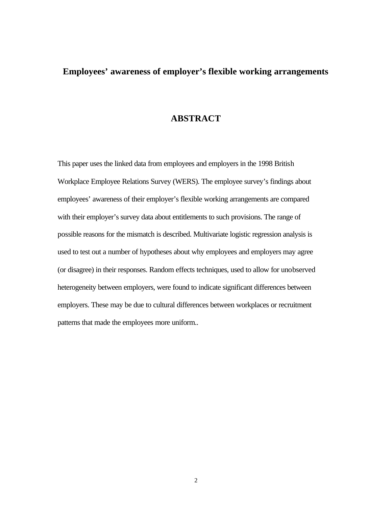## **Employees' awareness of employer's flexible working arrangements**

## **ABSTRACT**

This paper uses the linked data from employees and employers in the 1998 British Workplace Employee Relations Survey (WERS). The employee survey's findings about employees' awareness of their employer's flexible working arrangements are compared with their employer's survey data about entitlements to such provisions. The range of possible reasons for the mismatch is described. Multivariate logistic regression analysis is used to test out a number of hypotheses about why employees and employers may agree (or disagree) in their responses. Random effects techniques, used to allow for unobserved heterogeneity between employers, were found to indicate significant differences between employers. These may be due to cultural differences between workplaces or recruitment patterns that made the employees more uniform..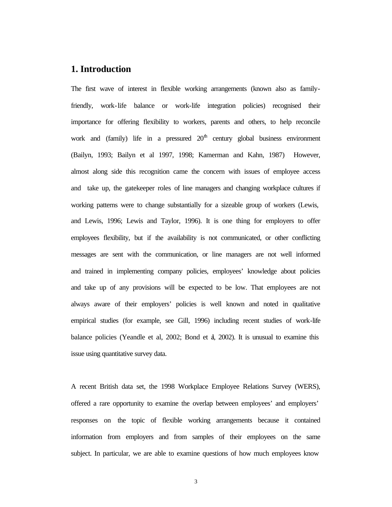#### **1. Introduction**

The first wave of interest in flexible working arrangements (known also as familyfriendly, work-life balance or work-life integration policies) recognised their importance for offering flexibility to workers, parents and others, to help reconcile work and (family) life in a pressured  $20<sup>th</sup>$  century global business environment (Bailyn, 1993; Bailyn et al 1997, 1998; Kamerman and Kahn, 1987) However, almost along side this recognition came the concern with issues of employee access and take up, the gatekeeper roles of line managers and changing workplace cultures if working patterns were to change substantially for a sizeable group of workers (Lewis, and Lewis, 1996; Lewis and Taylor, 1996). It is one thing for employers to offer employees flexibility, but if the availability is not communicated, or other conflicting messages are sent with the communication, or line managers are not well informed and trained in implementing company policies, employees' knowledge about policies and take up of any provisions will be expected to be low. That employees are not always aware of their employers' policies is well known and noted in qualitative empirical studies (for example, see Gill, 1996) including recent studies of work-life balance policies (Yeandle et al, 2002; Bond et al, 2002). It is unusual to examine this issue using quantitative survey data.

A recent British data set, the 1998 Workplace Employee Relations Survey (WERS), offered a rare opportunity to examine the overlap between employees' and employers' responses on the topic of flexible working arrangements because it contained information from employers and from samples of their employees on the same subject. In particular, we are able to examine questions of how much employees know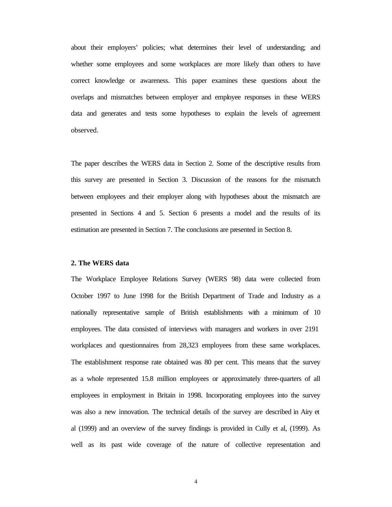about their employers' policies; what determines their level of understanding; and whether some employees and some workplaces are more likely than others to have correct knowledge or awareness. This paper examines these questions about the overlaps and mismatches between employer and employee responses in these WERS data and generates and tests some hypotheses to explain the levels of agreement observed.

The paper describes the WERS data in Section 2. Some of the descriptive results from this survey are presented in Section 3. Discussion of the reasons for the mismatch between employees and their employer along with hypotheses about the mismatch are presented in Sections 4 and 5. Section 6 presents a model and the results of its estimation are presented in Section 7. The conclusions are presented in Section 8.

#### **2. The WERS data**

The Workplace Employee Relations Survey (WERS 98) data were collected from October 1997 to June 1998 for the British Department of Trade and Industry as a nationally representative sample of British establishments with a minimum of 10 employees. The data consisted of interviews with managers and workers in over 2191 workplaces and questionnaires from 28,323 employees from these same workplaces. The establishment response rate obtained was 80 per cent. This means that the survey as a whole represented 15.8 million employees or approximately three-quarters of all employees in employment in Britain in 1998. Incorporating employees into the survey was also a new innovation. The technical details of the survey are described in Airy et al (1999) and an overview of the survey findings is provided in Cully et al, (1999). As well as its past wide coverage of the nature of collective representation and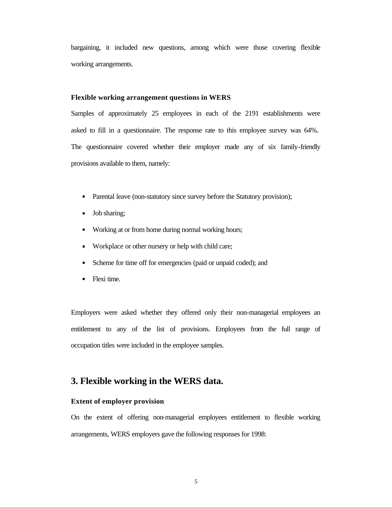bargaining, it included new questions, among which were those covering flexible working arrangements.

#### **Flexible working arrangement questions in WERS**

Samples of approximately 25 employees in each of the 2191 establishments were asked to fill in a questionnaire. The response rate to this employee survey was 64%. The questionnaire covered whether their employer made any of six family-friendly provisions available to them, namely:

- Parental leave (non-statutory since survey before the Statutory provision);
- Job sharing;
- **Working at or from home during normal working hours;**
- Workplace or other nursery or help with child care;
- Scheme for time off for emergencies (paid or unpaid coded); and
- Flexi time.

Employers were asked whether they offered only their non-managerial employees an entitlement to any of the list of provisions. Employees from the full range of occupation titles were included in the employee samples.

### **3. Flexible working in the WERS data.**

#### **Extent of employer provision**

On the extent of offering non-managerial employees entitlement to flexible working arrangements, WERS employers gave the following responses for 1998: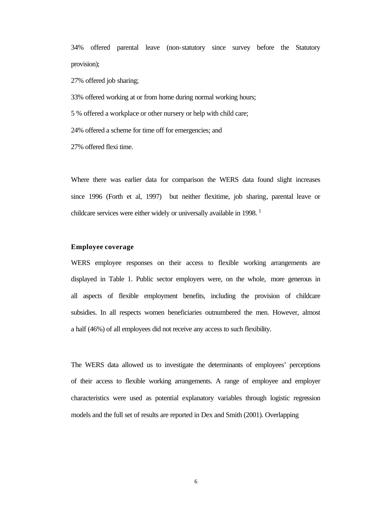34% offered parental leave (non-statutory since survey before the Statutory provision);

27% offered job sharing;

33% offered working at or from home during normal working hours;

5 % offered a workplace or other nursery or help with child care;

24% offered a scheme for time off for emergencies; and

27% offered flexi time.

Where there was earlier data for comparison the WERS data found slight increases since 1996 (Forth et al, 1997) but neither flexitime, job sharing, parental leave or childcare services were either widely or universally available in 1998.

#### **Employee coverage**

WERS employee responses on their access to flexible working arrangements are displayed in Table 1. Public sector employers were, on the whole, more generous in all aspects of flexible employment benefits, including the provision of childcare subsidies. In all respects women beneficiaries outnumbered the men. However, almost a half (46%) of all employees did not receive any access to such flexibility.

The WERS data allowed us to investigate the determinants of employees' perceptions of their access to flexible working arrangements. A range of employee and employer characteristics were used as potential explanatory variables through logistic regression models and the full set of results are reported in Dex and Smith (2001). Overlapping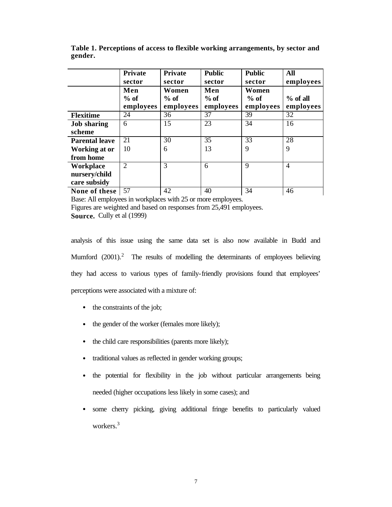|                       | <b>Private</b><br>sector | <b>Private</b><br>sector | <b>Public</b><br>sector | <b>Public</b><br>sector | <b>All</b><br>employees |
|-----------------------|--------------------------|--------------------------|-------------------------|-------------------------|-------------------------|
|                       | Men                      | Women                    | Men                     | Women                   |                         |
|                       | $%$ of                   | $%$ of                   | $%$ of                  | $%$ of                  | $%$ of all              |
|                       | employees                | employees                | employees               | employees               | employees               |
| <b>Flexitime</b>      | 24                       | 36                       | 37                      | 39                      | 32                      |
| <b>Job</b> sharing    | 6                        | 15                       | 23                      | 34                      | 16                      |
| scheme                |                          |                          |                         |                         |                         |
| <b>Parental leave</b> | 21                       | 30                       | 35                      | 33                      | 28                      |
| Working at or         | 10                       | 6                        | 13                      | 9                       | 9                       |
| from home             |                          |                          |                         |                         |                         |
| Workplace             | $\overline{2}$           | 3                        | 6                       | 9                       | $\overline{4}$          |
| nursery/child         |                          |                          |                         |                         |                         |
| care subsidy          |                          |                          |                         |                         |                         |
| None of these         | 57                       | 42                       | 40                      | 34                      | 46                      |

**Table 1. Perceptions of access to flexible working arrangements, by sector and gender.**

Base: All employees in workplaces with 25 or more employees. Figures are weighted and based on responses from 25,491 employees. **Source.** Cully et al (1999)

analysis of this issue using the same data set is also now available in Budd and Mumford (2001).<sup>2</sup> The results of modelling the determinants of employees believing they had access to various types of family-friendly provisions found that employees' perceptions were associated with a mixture of:

- the constraints of the job;
- the gender of the worker (females more likely);
- the child care responsibilities (parents more likely);
- traditional values as reflected in gender working groups;
- the potential for flexibility in the job without particular arrangements being needed (higher occupations less likely in some cases); and
- some cherry picking, giving additional fringe benefits to particularly valued workers.<sup>3</sup>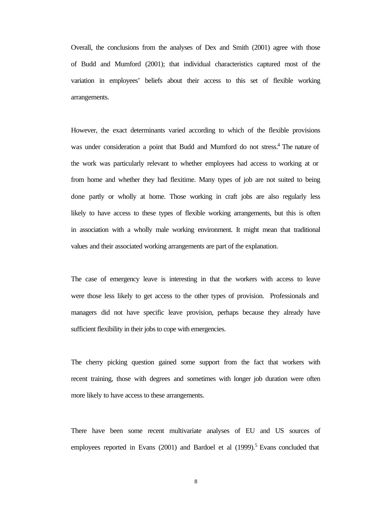Overall, the conclusions from the analyses of Dex and Smith (2001) agree with those of Budd and Mumford (2001); that individual characteristics captured most of the variation in employees' beliefs about their access to this set of flexible working arrangements.

However, the exact determinants varied according to which of the flexible provisions was under consideration a point that Budd and Mumford do not stress.<sup>4</sup> The nature of the work was particularly relevant to whether employees had access to working at or from home and whether they had flexitime. Many types of job are not suited to being done partly or wholly at home. Those working in craft jobs are also regularly less likely to have access to these types of flexible working arrangements, but this is often in association with a wholly male working environment. It might mean that traditional values and their associated working arrangements are part of the explanation.

The case of emergency leave is interesting in that the workers with access to leave were those less likely to get access to the other types of provision. Professionals and managers did not have specific leave provision, perhaps because they already have sufficient flexibility in their jobs to cope with emergencies.

The cherry picking question gained some support from the fact that workers with recent training, those with degrees and sometimes with longer job duration were often more likely to have access to these arrangements.

There have been some recent multivariate analyses of EU and US sources of employees reported in Evans  $(2001)$  and Bardoel et al  $(1999)$ .<sup>5</sup> Evans concluded that

8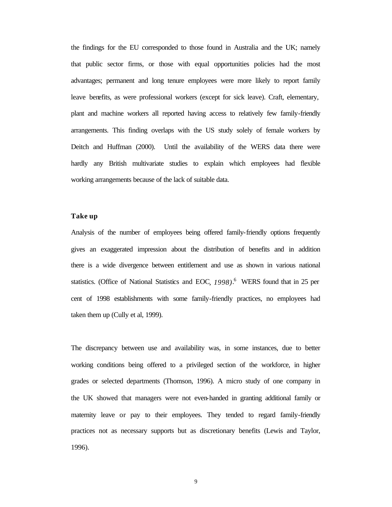the findings for the EU corresponded to those found in Australia and the UK; namely that public sector firms, or those with equal opportunities policies had the most advantages; permanent and long tenure employees were more likely to report family leave benefits, as were professional workers (except for sick leave). Craft, elementary, plant and machine workers all reported having access to relatively few family-friendly arrangements. This finding overlaps with the US study solely of female workers by Deitch and Huffman (2000). Until the availability of the WERS data there were hardly any British multivariate studies to explain which employees had flexible working arrangements because of the lack of suitable data.

#### **Take up**

Analysis of the number of employees being offered family-friendly options frequently gives an exaggerated impression about the distribution of benefits and in addition there is a wide divergence between entitlement and use as shown in various national statistics. (Office of National Statistics and EOC*, 1998)*. 6 WERS found that in 25 per cent of 1998 establishments with some family-friendly practices, no employees had taken them up (Cully et al, 1999).

The discrepancy between use and availability was, in some instances, due to better working conditions being offered to a privileged section of the workforce, in higher grades or selected departments (Thomson, 1996). A micro study of one company in the UK showed that managers were not even-handed in granting additional family or maternity leave or pay to their employees. They tended to regard family-friendly practices not as necessary supports but as discretionary benefits (Lewis and Taylor, 1996).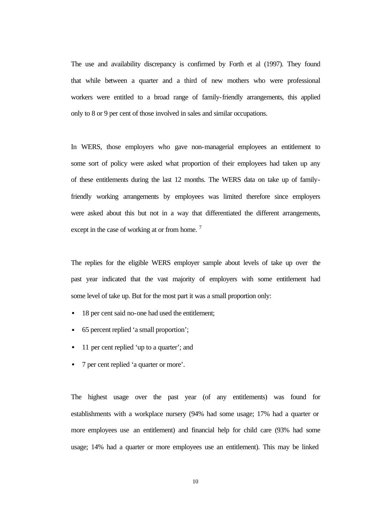The use and availability discrepancy is confirmed by Forth et al (1997). They found that while between a quarter and a third of new mothers who were professional workers were entitled to a broad range of family-friendly arrangements, this applied only to 8 or 9 per cent of those involved in sales and similar occupations.

In WERS, those employers who gave non-managerial employees an entitlement to some sort of policy were asked what proportion of their employees had taken up any of these entitlements during the last 12 months. The WERS data on take up of familyfriendly working arrangements by employees was limited therefore since employers were asked about this but not in a way that differentiated the different arrangements, except in the case of working at or from home.<sup>7</sup>

The replies for the eligible WERS employer sample about levels of take up over the past year indicated that the vast majority of employers with some entitlement had some level of take up. But for the most part it was a small proportion only:

- 18 per cent said no-one had used the entitlement;
- 65 percent replied 'a small proportion';
- 11 per cent replied 'up to a quarter'; and
- 7 per cent replied 'a quarter or more'.

The highest usage over the past year (of any entitlements) was found for establishments with a workplace nursery (94% had some usage; 17% had a quarter or more employees use an entitlement) and financial help for child care (93% had some usage; 14% had a quarter or more employees use an entitlement). This may be linked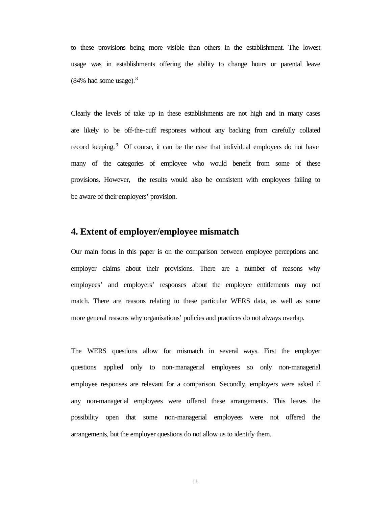to these provisions being more visible than others in the establishment. The lowest usage was in establishments offering the ability to change hours or parental leave  $(84\%$  had some usage).<sup>8</sup>

Clearly the levels of take up in these establishments are not high and in many cases are likely to be off-the-cuff responses without any backing from carefully collated record keeping.<sup>9</sup> Of course, it can be the case that individual employers do not have many of the categories of employee who would benefit from some of these provisions. However, the results would also be consistent with employees failing to be aware of their employers' provision.

### **4. Extent of employer/employee mismatch**

Our main focus in this paper is on the comparison between employee perceptions and employer claims about their provisions. There are a number of reasons why employees' and employers' responses about the employee entitlements may not match. There are reasons relating to these particular WERS data, as well as some more general reasons why organisations' policies and practices do not always overlap.

The WERS questions allow for mismatch in several ways. First the employer questions applied only to non-managerial employees so only non-managerial employee responses are relevant for a comparison. Secondly, employers were asked if any non-managerial employees were offered these arrangements. This leaves the possibility open that some non-managerial employees were not offered the arrangements, but the employer questions do not allow us to identify them.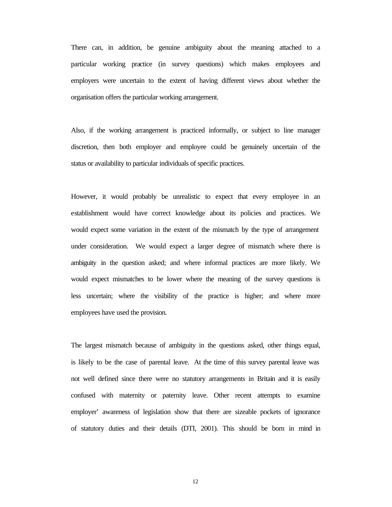There can, in addition, be genuine ambiguity about the meaning attached to a particular working practice (in survey questions) which makes employees and employers were uncertain to the extent of having different views about whether the organisation offers the particular working arrangement.

Also, if the working arrangement is practiced informally, or subject to line manager discretion, then both employer and employee could be genuinely uncertain of the status or availability to particular individuals of specific practices.

However, it would probably be unrealistic to expect that every employee in an establishment would have correct knowledge about its policies and practices. We would expect some variation in the extent of the mismatch by the type of arrangement under consideration. We would expect a larger degree of mismatch where there is ambiguity in the question asked; and where informal practices are more likely. We would expect mismatches to be lower where the meaning of the survey questions is less uncertain; where the visibility of the practice is higher; and where more employees have used the provision.

The largest mismatch because of ambiguity in the questions asked, other things equal, is likely to be the case of parental leave. At the time of this survey parental leave was not well defined since there were no statutory arrangements in Britain and it is easily confused with maternity or paternity leave. Other recent attempts to examine employer' awareness of legislation show that there are sizeable pockets of ignorance of statutory duties and their details (DTI, 2001). This should be born in mind in

12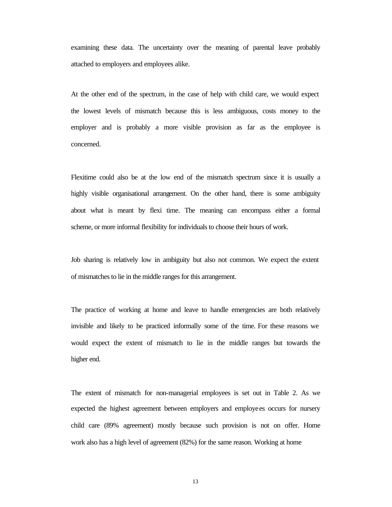examining these data. The uncertainty over the meaning of parental leave probably attached to employers and employees alike.

At the other end of the spectrum, in the case of help with child care, we would expect the lowest levels of mismatch because this is less ambiguous, costs money to the employer and is probably a more visible provision as far as the employee is concerned.

Flexitime could also be at the low end of the mismatch spectrum since it is usually a highly visible organisational arrangement. On the other hand, there is some ambiguity about what is meant by flexi time. The meaning can encompass either a formal scheme, or more informal flexibility for individuals to choose their hours of work.

Job sharing is relatively low in ambiguity but also not common. We expect the extent of mismatches to lie in the middle ranges for this arrangement.

The practice of working at home and leave to handle emergencies are both relatively invisible and likely to be practiced informally some of the time. For these reasons we would expect the extent of mismatch to lie in the middle ranges but towards the higher end.

The extent of mismatch for non-managerial employees is set out in Table 2. As we expected the highest agreement between employers and employees occurs for nursery child care (89% agreement) mostly because such provision is not on offer. Home work also has a high level of agreement (82%) for the same reason. Working at home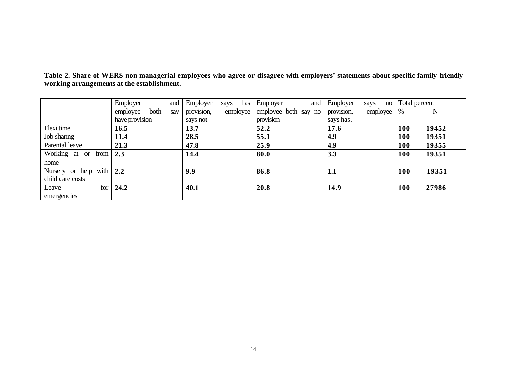|                           | Employer<br>and         | Employer   | has<br>says | Employer<br>and      | Employer<br>says<br>no | Total percent |
|---------------------------|-------------------------|------------|-------------|----------------------|------------------------|---------------|
|                           | both<br>employee<br>say | provision, | employee    | employee both say no | employee<br>provision, | N<br>%        |
|                           | have provision          | says not   |             | provision            | says has.              |               |
| Flexi time                | 16.5                    | 13.7       |             | 52.2                 | 17.6                   | 19452<br>100  |
| Job sharing               | 11.4                    | 28.5       |             | 55.1                 | 4.9                    | 100<br>19351  |
| Parental leave            | 21.3                    | 47.8       |             | 25.9                 | 4.9                    | 19355<br>100  |
| Working at or from        | 2.3                     | 14.4       |             | 80.0                 | 3.3                    | 100<br>19351  |
| home                      |                         |            |             |                      |                        |               |
| Nursery or help with      | 2.2                     | 9.9        |             | 86.8                 | 1.1                    | 100<br>19351  |
| child care costs          |                         |            |             |                      |                        |               |
| for <sub>1</sub><br>Leave | 24.2                    | 40.1       |             | 20.8                 | 14.9                   | 27986<br>100  |
| emergencies               |                         |            |             |                      |                        |               |

**Table 2. Share of WERS non-managerial employees who agree or disagree with employers' statements about specific family-friendly working arrangements at the establishment.**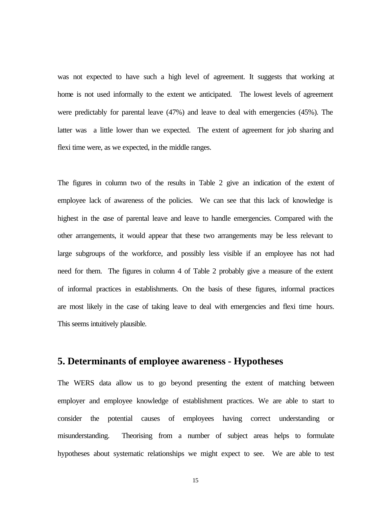was not expected to have such a high level of agreement. It suggests that working at home is not used informally to the extent we anticipated.The lowest levels of agreement were predictably for parental leave (47%) and leave to deal with emergencies (45%). The latter was a little lower than we expected. The extent of agreement for job sharing and flexi time were, as we expected, in the middle ranges.

The figures in column two of the results in Table 2 give an indication of the extent of employee lack of awareness of the policies. We can see that this lack of knowledge is highest in the case of parental leave and leave to handle emergencies. Compared with the other arrangements, it would appear that these two arrangements may be less relevant to large subgroups of the workforce, and possibly less visible if an employee has not had need for them. The figures in column 4 of Table 2 probably give a measure of the extent of informal practices in establishments. On the basis of these figures, informal practices are most likely in the case of taking leave to deal with emergencies and flexi time hours. This seems intuitively plausible.

## **5. Determinants of employee awareness - Hypotheses**

The WERS data allow us to go beyond presenting the extent of matching between employer and employee knowledge of establishment practices. We are able to start to consider the potential causes of employees having correct understanding or misunderstanding. Theorising from a number of subject areas helps to formulate hypotheses about systematic relationships we might expect to see. We are able to test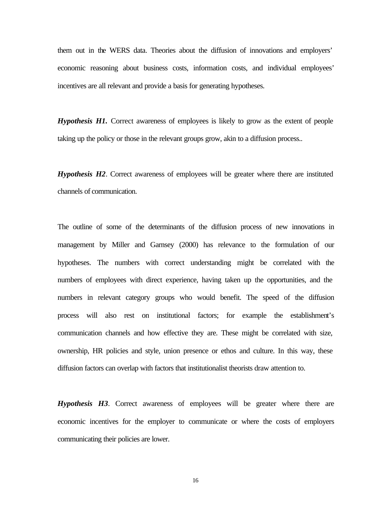them out in the WERS data. Theories about the diffusion of innovations and employers' economic reasoning about business costs, information costs, and individual employees' incentives are all relevant and provide a basis for generating hypotheses.

*Hypothesis H1.* Correct awareness of employees is likely to grow as the extent of people taking up the policy or those in the relevant groups grow, akin to a diffusion process..

*Hypothesis H2*. Correct awareness of employees will be greater where there are instituted channels of communication.

The outline of some of the determinants of the diffusion process of new innovations in management by Miller and Garnsey (2000) has relevance to the formulation of our hypotheses. The numbers with correct understanding might be correlated with the numbers of employees with direct experience, having taken up the opportunities, and the numbers in relevant category groups who would benefit. The speed of the diffusion process will also rest on institutional factors; for example the establishment's communication channels and how effective they are. These might be correlated with size, ownership, HR policies and style, union presence or ethos and culture. In this way, these diffusion factors can overlap with factors that institutionalist theorists draw attention to.

*Hypothesis H3*. Correct awareness of employees will be greater where there are economic incentives for the employer to communicate or where the costs of employers communicating their policies are lower.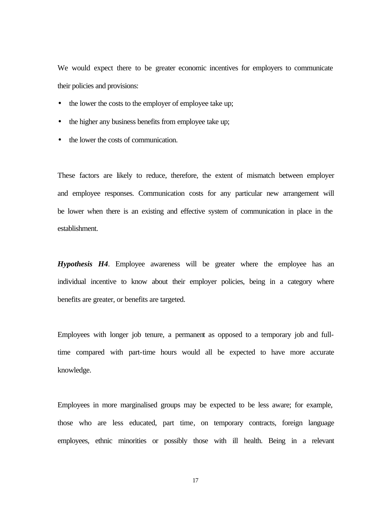We would expect there to be greater economic incentives for employers to communicate their policies and provisions:

- the lower the costs to the employer of employee take up;
- the higher any business benefits from employee take up;
- the lower the costs of communication.

These factors are likely to reduce, therefore, the extent of mismatch between employer and employee responses. Communication costs for any particular new arrangement will be lower when there is an existing and effective system of communication in place in the establishment.

*Hypothesis H4*. Employee awareness will be greater where the employee has an individual incentive to know about their employer policies, being in a category where benefits are greater, or benefits are targeted.

Employees with longer job tenure, a permanent as opposed to a temporary job and fulltime compared with part-time hours would all be expected to have more accurate knowledge.

Employees in more marginalised groups may be expected to be less aware; for example, those who are less educated, part time, on temporary contracts, foreign language employees, ethnic minorities or possibly those with ill health. Being in a relevant

17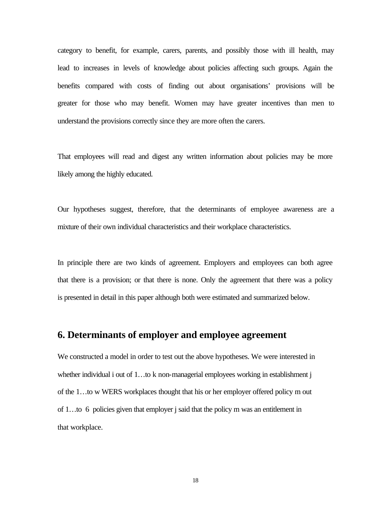category to benefit, for example, carers, parents, and possibly those with ill health, may lead to increases in levels of knowledge about policies affecting such groups. Again the benefits compared with costs of finding out about organisations' provisions will be greater for those who may benefit. Women may have greater incentives than men to understand the provisions correctly since they are more often the carers.

That employees will read and digest any written information about policies may be more likely among the highly educated.

Our hypotheses suggest, therefore, that the determinants of employee awareness are a mixture of their own individual characteristics and their workplace characteristics.

In principle there are two kinds of agreement. Employers and employees can both agree that there is a provision; or that there is none. Only the agreement that there was a policy is presented in detail in this paper although both were estimated and summarized below.

## **6. Determinants of employer and employee agreement**

We constructed a model in order to test out the above hypotheses. We were interested in whether individual i out of 1...to k non-managerial employees working in establishment j of the 1…to w WERS workplaces thought that his or her employer offered policy m out of 1…to 6 policies given that employer j said that the policy m was an entitlement in that workplace.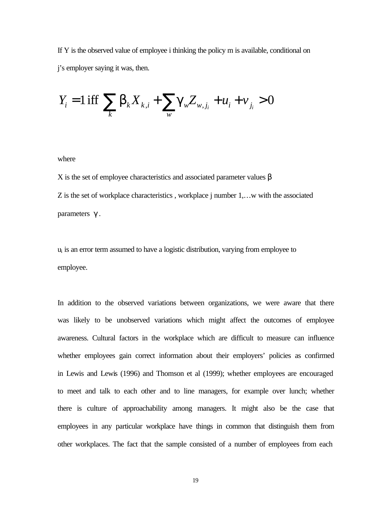If Y is the observed value of employee i thinking the policy m is available, conditional on j's employer saying it was, then.

$$
Y_{i} = 1 \text{ iff } \sum_{k} b_{k} X_{k,i} + \sum_{w} g_{w} Z_{w,j_{i}} + u_{i} + v_{j_{i}} > 0
$$

where

X is the set of employee characteristics and associated parameter values  $β$ Z is the set of workplace characteristics, workplace j number 1,...w with the associated parameters γ .

 $u_i$  is an error term assumed to have a logistic distribution, varying from employee to employee.

In addition to the observed variations between organizations, we were aware that there was likely to be unobserved variations which might affect the outcomes of employee awareness. Cultural factors in the workplace which are difficult to measure can influence whether employees gain correct information about their employers' policies as confirmed in Lewis and Lewis (1996) and Thomson et al (1999); whether employees are encouraged to meet and talk to each other and to line managers, for example over lunch; whether there is culture of approachability among managers. It might also be the case that employees in any particular workplace have things in common that distinguish them from other workplaces. The fact that the sample consisted of a number of employees from each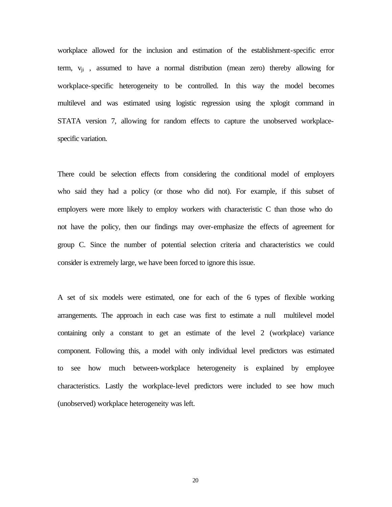workplace allowed for the inclusion and estimation of the establishment-specific error term,  $v_{ii}$ , assumed to have a normal distribution (mean zero) thereby allowing for workplace-specific heterogeneity to be controlled. In this way the model becomes multilevel and was estimated using logistic regression using the xplogit command in STATA version 7, allowing for random effects to capture the unobserved workplacespecific variation.

There could be selection effects from considering the conditional model of employers who said they had a policy (or those who did not). For example, if this subset of employers were more likely to employ workers with characteristic C than those who do not have the policy, then our findings may over-emphasize the effects of agreement for group C. Since the number of potential selection criteria and characteristics we could consider is extremely large, we have been forced to ignore this issue.

A set of six models were estimated, one for each of the 6 types of flexible working arrangements. The approach in each case was first to estimate a null multilevel model containing only a constant to get an estimate of the level 2 (workplace) variance component. Following this, a model with only individual level predictors was estimated to see how much between-workplace heterogeneity is explained by employee characteristics. Lastly the workplace-level predictors were included to see how much (unobserved) workplace heterogeneity was left.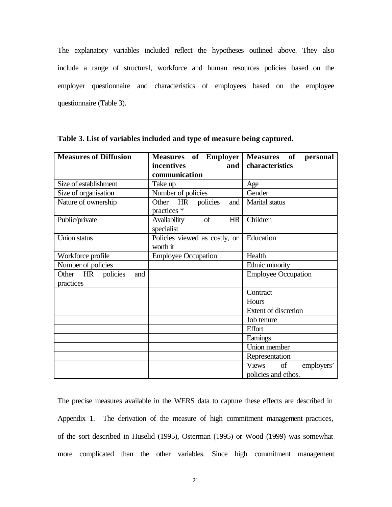The explanatory variables included reflect the hypotheses outlined above. They also include a range of structural, workforce and human resources policies based on the employer questionnaire and characteristics of employees based on the employee questionnaire (Table 3).

| <b>Measures of Diffusion</b>             | of Employer<br><b>Measures</b>            | <b>Measures</b><br>of<br>personal |
|------------------------------------------|-------------------------------------------|-----------------------------------|
|                                          | incentives<br>and                         | characteristics                   |
|                                          | communication                             |                                   |
| Size of establishment                    | Take up                                   | Age                               |
| Size of organisation                     | Number of policies                        | Gender                            |
| Nature of ownership                      | Other HR policies<br>and<br>practices *   | Marital status                    |
| Public/private                           | Availability<br>of<br>HR<br>specialist    | Children                          |
| Union status                             | Policies viewed as costly, or<br>worth it | Education                         |
| Workforce profile                        | <b>Employee Occupation</b>                | Health                            |
| Number of policies                       |                                           | Ethnic minority                   |
| Other HR<br>policies<br>and<br>practices |                                           | <b>Employee Occupation</b>        |
|                                          |                                           | Contract                          |
|                                          |                                           | Hours                             |
|                                          |                                           | <b>Extent of discretion</b>       |
|                                          |                                           | Job tenure                        |
|                                          |                                           | Effort                            |
|                                          |                                           | Earnings                          |
|                                          |                                           | Union member                      |
|                                          |                                           | Representation                    |
|                                          |                                           | <b>Views</b><br>of<br>employers'  |
|                                          |                                           | policies and ethos.               |

|  |  |  |  | Table 3. List of variables included and type of measure being captured. |  |
|--|--|--|--|-------------------------------------------------------------------------|--|
|  |  |  |  |                                                                         |  |

The precise measures available in the WERS data to capture these effects are described in Appendix 1. The derivation of the measure of high commitment management practices, of the sort described in Huselid (1995), Osterman (1995) or Wood (1999) was somewhat more complicated than the other variables. Since high commitment management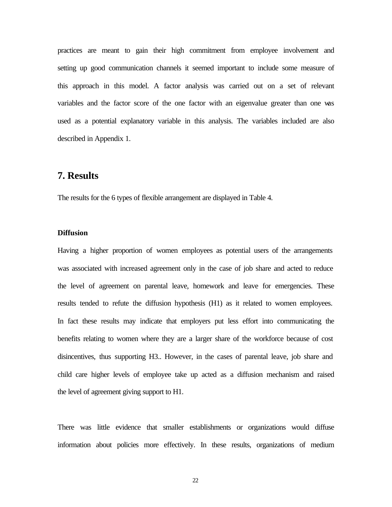practices are meant to gain their high commitment from employee involvement and setting up good communication channels it seemed important to include some measure of this approach in this model. A factor analysis was carried out on a set of relevant variables and the factor score of the one factor with an eigenvalue greater than one was used as a potential explanatory variable in this analysis. The variables included are also described in Appendix 1.

## **7. Results**

The results for the 6 types of flexible arrangement are displayed in Table 4.

#### **Diffusion**

Having a higher proportion of women employees as potential users of the arrangements was associated with increased agreement only in the case of job share and acted to reduce the level of agreement on parental leave, homework and leave for emergencies. These results tended to refute the diffusion hypothesis (H1) as it related to women employees. In fact these results may indicate that employers put less effort into communicating the benefits relating to women where they are a larger share of the workforce because of cost disincentives, thus supporting H3.. However, in the cases of parental leave, job share and child care higher levels of employee take up acted as a diffusion mechanism and raised the level of agreement giving support to H1.

There was little evidence that smaller establishments or organizations would diffuse information about policies more effectively. In these results, organizations of medium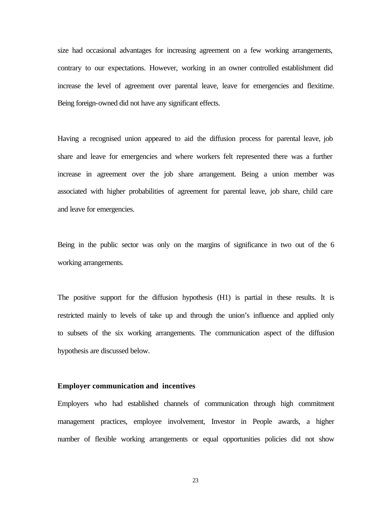size had occasional advantages for increasing agreement on a few working arrangements, contrary to our expectations. However, working in an owner controlled establishment did increase the level of agreement over parental leave, leave for emergencies and flexitime. Being foreign-owned did not have any significant effects.

Having a recognised union appeared to aid the diffusion process for parental leave, job share and leave for emergencies and where workers felt represented there was a further increase in agreement over the job share arrangement. Being a union member was associated with higher probabilities of agreement for parental leave, job share, child care and leave for emergencies.

Being in the public sector was only on the margins of significance in two out of the 6 working arrangements.

The positive support for the diffusion hypothesis (H1) is partial in these results. It is restricted mainly to levels of take up and through the union's influence and applied only to subsets of the six working arrangements. The communication aspect of the diffusion hypothesis are discussed below.

#### **Employer communication and incentives**

Employers who had established channels of communication through high commitment management practices, employee involvement, Investor in People awards, a higher number of flexible working arrangements or equal opportunities policies did not show

23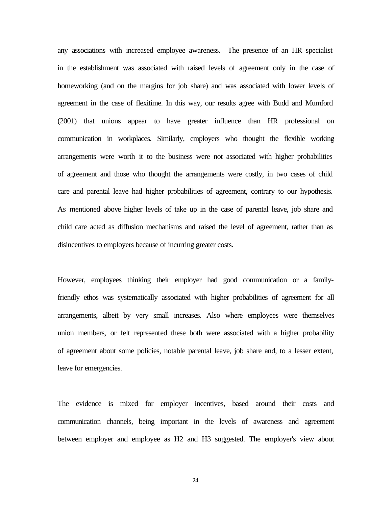any associations with increased employee awareness. The presence of an HR specialist in the establishment was associated with raised levels of agreement only in the case of homeworking (and on the margins for job share) and was associated with lower levels of agreement in the case of flexitime. In this way, our results agree with Budd and Mumford (2001) that unions appear to have greater influence than HR professional on communication in workplaces. Similarly, employers who thought the flexible working arrangements were worth it to the business were not associated with higher probabilities of agreement and those who thought the arrangements were costly, in two cases of child care and parental leave had higher probabilities of agreement, contrary to our hypothesis. As mentioned above higher levels of take up in the case of parental leave, job share and child care acted as diffusion mechanisms and raised the level of agreement, rather than as disincentives to employers because of incurring greater costs.

However, employees thinking their employer had good communication or a familyfriendly ethos was systematically associated with higher probabilities of agreement for all arrangements, albeit by very small increases. Also where employees were themselves union members, or felt represented these both were associated with a higher probability of agreement about some policies, notable parental leave, job share and, to a lesser extent, leave for emergencies.

The evidence is mixed for employer incentives, based around their costs and communication channels, being important in the levels of awareness and agreement between employer and employee as H2 and H3 suggested. The employer's view about

24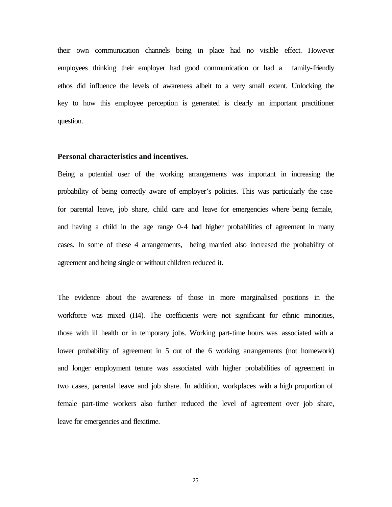their own communication channels being in place had no visible effect. However employees thinking their employer had good communication or had a family-friendly ethos did influence the levels of awareness albeit to a very small extent. Unlocking the key to how this employee perception is generated is clearly an important practitioner question.

#### **Personal characteristics and incentives.**

Being a potential user of the working arrangements was important in increasing the probability of being correctly aware of employer's policies. This was particularly the case for parental leave, job share, child care and leave for emergencies where being female, and having a child in the age range 0-4 had higher probabilities of agreement in many cases. In some of these 4 arrangements, being married also increased the probability of agreement and being single or without children reduced it.

The evidence about the awareness of those in more marginalised positions in the workforce was mixed (H4). The coefficients were not significant for ethnic minorities, those with ill health or in temporary jobs. Working part-time hours was associated with a lower probability of agreement in 5 out of the 6 working arrangements (not homework) and longer employment tenure was associated with higher probabilities of agreement in two cases, parental leave and job share. In addition, workplaces with a high proportion of female part-time workers also further reduced the level of agreement over job share, leave for emergencies and flexitime.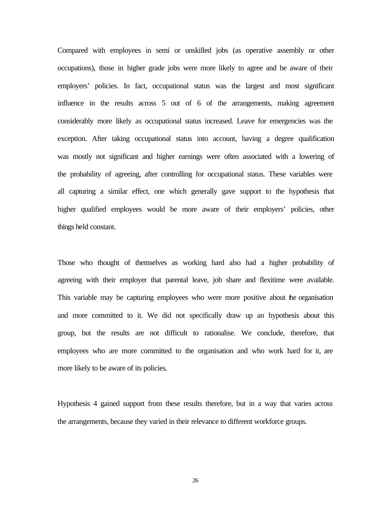Compared with employees in semi or unskilled jobs (as operative assembly or other occupations), those in higher grade jobs were more likely to agree and be aware of their employers' policies. In fact, occupational status was the largest and most significant influence in the results across 5 out of 6 of the arrangements, making agreement considerably more likely as occupational status increased. Leave for emergencies was the exception. After taking occupational status into account, having a degree qualification was mostly not significant and higher earnings were often associated with a lowering of the probability of agreeing, after controlling for occupational status. These variables were all capturing a similar effect, one which generally gave support to the hypothesis that higher qualified employees would be more aware of their employers' policies, other things held constant.

Those who thought of themselves as working hard also had a higher probability of agreeing with their employer that parental leave, job share and flexitime were available. This variable may be capturing employees who were more positive about the organisation and more committed to it. We did not specifically draw up an hypothesis about this group, but the results are not difficult to rationalise. We conclude, therefore, that employees who are more committed to the organisation and who work hard for it, are more likely to be aware of its policies.

Hypothesis 4 gained support from these results therefore, but in a way that varies across the arrangements, because they varied in their relevance to different workforce groups.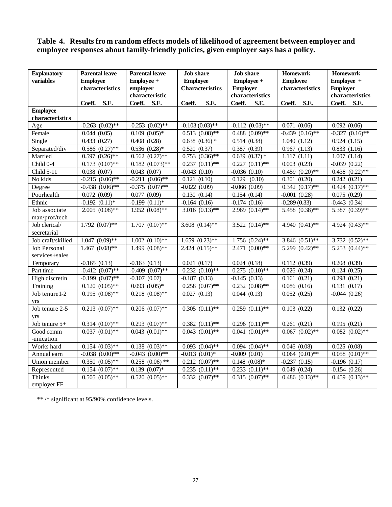## **Table 4. Results from random effects models of likelihood of agreement between employer and employee responses about family-friendly policies, given employer says has a policy.**

| <b>Explanatory</b>  | <b>Parental leave</b> | <b>Parental leave</b><br><b>Job</b> share |                                | <b>Job</b> share     | <b>Homework</b>      | <b>Homework</b>      |
|---------------------|-----------------------|-------------------------------------------|--------------------------------|----------------------|----------------------|----------------------|
| variables           | <b>Employee</b>       | Employee +                                | <b>Employee</b>                | Employee +           | <b>Employee</b>      | Employee +           |
|                     | characteristics       | employer                                  | <b>Characteristics</b>         | <b>Employer</b>      | characteristics      | <b>Employer</b>      |
|                     |                       | characteristic                            |                                | characteristics      |                      | characteristics      |
|                     | S.E.<br>Coeff.        | Coeff.<br>S.E.                            | S.E.<br>Coeff.                 | Coeff.<br>S.E.       | S.E.<br>Coeff.       | Coeff.<br>S.E.       |
| <b>Employee</b>     |                       |                                           |                                |                      |                      |                      |
| characteristics     |                       |                                           |                                |                      |                      |                      |
| Age                 | $-0.263$ $(0.02)$ **  | $-0.253$ $(0.02)$ **                      | $-0.103(0.03)$ **              | $-0.112$ $(0.03)$ ** | 0.071(0.06)          | 0.092(0.06)          |
| Female              | 0.044(0.05)           | $0.109$ $(0.05)*$                         | $0.513$ $(0.08)$ **            | $0.488$ $(0.09)$ **  | $-0.439$ $(0.16)$ ** | $-0.327$ $(0.16)$ ** |
| Single              | 0.433(0.27)           | 0.408(0.28)                               | $0.638$ $(0.36)$ *             | 0.514(0.38)          | 1.040(1.12)          | 0.924(1.15)          |
| Separated/div       | $0.586$ $(0.27)$ **   | $0.536$ $(0.28)$ *                        | 0.520(0.37)                    | 0.387(0.39)          | 0.967(1.13)          | 0.833(1.16)          |
| Married             | $0.597(0.26)$ **      | $0.562(0.27)$ **                          | $0.753$ $(0.36)$ **            | $0.639(0.37)$ *      | (1.11)<br>1.117      | 1.007(1.14)          |
| Child 0-4           | $0.173$ $(0.07)$ **   | $0.182$ $(0.073)$ **                      | $0.237$ $(0.11)$ **            | $0.227(0.11)$ **     | 0.003(0.23)          | $-0.039(0.22)$       |
| Child 5-11          | 0.038(0.07)           | 0.043(0.07)                               | $-0.043(0.10)$                 | $-0.036$ $(0.10)$    | $0.459$ $(0.20)**$   | $0.438$ $(0.22)$ **  |
| No kids             | $-0.215$ $(0.06)$ **  | $-0.211(0.06)$ **                         | 0.121(0.10)                    | 0.129<br>(0.10)      | 0.301(0.20)          | 0.242(0.21)          |
| Degree              | $-0.438$ $(0.06)$ **  | $-0.375$ $(0.07)$ **                      | $-0.022(0.09)$                 | $-0.066(0.09)$       | $0.342(0.17)$ **     | $0.424$ $(0.17)$ **  |
| Poorhealth          | 0.072(0.09)           | 0.077(0.09)                               | 0.130(0.14)                    | 0.154(0.14)          | $-0.001$ $(0.28)$    | 0.075(0.29)          |
| Ethnic              | $-0.192$ $(0.11)*$    | $-0.199$ $(0.11)$ *                       | $-0.164(0.16)$                 | $-0.174(0.16)$       | $-0.289(0.33)$       | $-0.443(0.34)$       |
| Job associate       | $2.005(0.08)$ **      | $1.952(0.08)$ **                          | $3.016$ $(0.13)$ **            | $2.969(0.14)$ **     | 5.458 (0.38)**       | 5.387 (0.39)**       |
| man/prof/tech       |                       |                                           |                                |                      |                      |                      |
| Job clerical/       | $1.792 (0.07)$ **     | $1.707 (0.07)$ **                         | 3.608 $(0.14)$ **              | $3.522(0.14)$ **     | 4.940 $(0.41)$ **    | 4.924 $(0.43)$ **    |
| secretarial         |                       |                                           |                                |                      |                      |                      |
| Job craft/skilled   | $1.047(0.09)$ **      | $1.002 (0.10)$ **                         | $1.659$ $(0.23)$ **            | $1.756$ $(0.24)$ **  | 3.846 $(0.51)$ **    | $3.732 (0.52)$ **    |
| <b>Job Personal</b> | $1.467$ $(0.08)$ **   | $1.499(0.08)$ **                          | $2.424$ $(0.15)$ **            | $2.471(0.00)**$      | 5.299 $(0.42)$ **    | 5.253 $(0.44)$ **    |
| services+sales      |                       |                                           |                                |                      |                      |                      |
| Temporary           | $-0.165(0.13)$        | $-0.163(0.13)$                            | 0.021(0.17)                    | 0.024(0.18)          | 0.112(0.39)          | 0.208(0.39)          |
| Part time           | $-0.412$ $(0.07)$ **  | $-0.409$ $(0.07)$ **                      | $0.232(0.10)**$                | $0.275$ $(0.10)$ **  | 0.026(0.24)          | 0.124(0.25)          |
| High discretin      | $-0.199$ $(0.07)$ **  | $-0.107(0.07)$                            | $-0.187(0.13)$                 | $-0.145(0.13)$       | 0.161(0.21)          | 0.298(0.21)          |
| Training            | $0.120(0.05)$ **      | $0.093$ $(0.05)*$                         | $0.258$ $(0.07)$ **            | $0.232$ $(0.08)$ **  | 0.086(0.16)          | 0.131(0.17)          |
| Job tenure 1-2      | $0.195(0.08)$ **      | $0.218$ $(0.08)$ **                       | 0.027(0.13)                    | 0.044(0.13)          | 0.052(0.25)          | $-0.044(0.26)$       |
| yrs                 |                       |                                           |                                |                      |                      |                      |
| Job tenure $2-5$    | $0.213$ $(0.07)$ **   | $0.206$ $(0.07)$ **                       | $0.305$ $(0.11)$ **            | $0.259(0.11)$ **     | 0.103(0.22)          | 0.132(0.22)          |
| yrs                 |                       |                                           |                                |                      |                      |                      |
| Job tenure 5+       | $0.314$ $(0.07)$ **   | $0.293$ $(0.07)$ **                       | $0.382(0.11)$ **               | $0.296$ $(0.11)$ **  | 0.261(0.21)          | 0.195(0.21)          |
| Good comm           | $0.037$ $(0.01)$ **   | $0.043$ $(0.01)$ **                       | $0.043$ $(0.01)$ **            | $0.041(0.01)$ **     | $0.067$ $(0.02)$ **  | $0.082$ $(0.02)$ **  |
| -unication          |                       |                                           |                                |                      |                      |                      |
| Works hard          | $0.154$ $(0.03)$ **   | $0.138$ $(0.03)$ **                       | $0.093$ $(0.04)$ **            | $0.094$ $(0.04)$ **  | 0.046(0.08)          | 0.025(0.08)          |
| Annual earn         | $-0.038$ $(0.00)*$    | $-0.043$ $(0.00)**$                       | $-0.013$ $(0.01)$ <sup>*</sup> | $-0.009$ $(0.01)$    | $0.064$ $(0.01)$ **  | $0.058$ $(0.01)$ **  |
| Union member        | $0.350(0.05)$ **      | $0.258$ $(0.06)$ **                       | $0.212$ $(0.07)$ **            | $0.148$ $(0.08)*$    | $-0.237(0.15)$       | $-0.196(0.17)$       |
| Represented         | $0.154$ $(0.07)$ **   | $0.139(0.07)*$                            | $0.235$ $(0.11)^{**}$          | $0.233$ $(0.11)$ **  | 0.049(0.24)          | $-0.154(0.26)$       |
| <b>Thinks</b>       | $0.505(0.05)$ **      | $0.520(0.05)$ **                          | $0.332$ $(0.07)$ **            | $0.315(0.07)$ **     | $0.486$ $(0.13)$ **  | $0.459$ $(0.13)*$    |
| employer FF         |                       |                                           |                                |                      |                      |                      |

\*\* /\* significant at 95/90% confidence levels.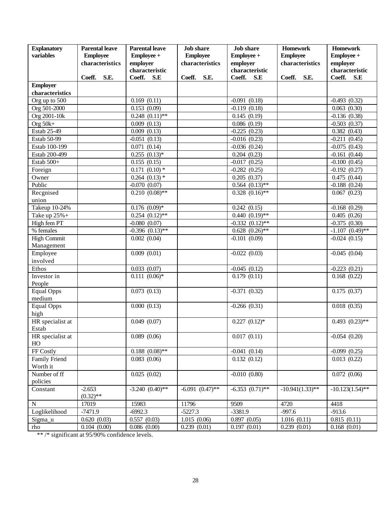| <b>Explanatory</b>        | <b>Parental leave</b> | <b>Parental leave</b> | <b>Job</b> share  | <b>Job</b> share     | <b>Homework</b>    | <b>Homework</b>           |
|---------------------------|-----------------------|-----------------------|-------------------|----------------------|--------------------|---------------------------|
| variables                 | <b>Employee</b>       | Employee +            | <b>Employee</b>   | Employee +           | <b>Employee</b>    | Employee +                |
|                           | characteristics       | employer              | characteristics   | employer             | characteristics    | employer                  |
|                           |                       | characteristic        |                   | characteristic       |                    | characteristic            |
|                           | Coeff.<br>S.E.        | Coeff.<br>S.E         | Coeff.<br>S.E.    | Coeff.<br>S.E        | Coeff.<br>S.E.     | Coeff.<br>S.E             |
| <b>Employer</b>           |                       |                       |                   |                      |                    |                           |
| characteristics           |                       |                       |                   |                      |                    |                           |
| Org up to 500             |                       | 0.169(0.11)           |                   | $-0.091(0.18)$       |                    | $-0.493(0.32)$            |
| Org 501-2000              |                       | 0.153(0.09)           |                   | $-0.119(0.18)$       |                    | 0.063(0.30)               |
| Org 2001-10k              |                       | $0.248$ $(0.11)$ **   |                   | 0.145(0.19)          |                    | $-0.136(0.38)$            |
| Org $50k+$                |                       | 0.009(0.13)           |                   | 0.086(0.19)          |                    | $-0.503(0.37)$            |
| Estab 25-49               |                       | 0.009(0.13)           |                   | $-0.225(0.23)$       |                    | 0.382(0.43)               |
| Estab 50-99               |                       | $-0.051(0.13)$        |                   | $-0.016(0.23)$       |                    | $-0.211(0.45)$            |
| Estab 100-199             |                       | 0.071(0.14)           |                   | $-0.036$ $(0.24)$    |                    | $-0.075(0.43)$            |
| Estab 200-499             |                       | $0.255$ $(0.13)*$     |                   | 0.204(0.23)          |                    | $-0.161(0.44)$            |
| Estab 500+                |                       | 0.155(0.15)           |                   | $-0.017(0.25)$       |                    | $-0.100(0.45)$            |
| Foreign                   |                       | $0.171(0.10)*$        |                   | $-0.282(0.25)$       |                    | $-0.192(0.27)$            |
| Owner                     |                       | $0.264$ $(0.13)$ *    |                   | 0.205(0.37)          |                    | $\overline{0.475}$ (0.44) |
| Public                    |                       | $-0.070(0.07)$        |                   | $0.564$ $(0.13)$ **  |                    | $-0.188$ (0.24)           |
| Recgnised                 |                       | $0.210(0.08)$ **      |                   | $0.328$ $(0.16)$ **  |                    | 0.067(0.23)               |
| union                     |                       |                       |                   |                      |                    |                           |
| Takeup 10-24%             |                       | $0.176$ $(0.09)*$     |                   | 0.242(0.15)          |                    | $-0.168(0.29)$            |
| Take up $25\%$ +          |                       | $0.254$ $(0.12)$ **   |                   | $0.440(0.19)$ **     |                    | 0.405(0.26)               |
| High fem PT               |                       | $-0.080(0.07)$        |                   | $-0.332$ $(0.12)$ ** |                    | $-0.375(0.30)$            |
| % females                 |                       | $-0.396$ $(0.13)$ **  |                   | $0.628$ $(0.26)$ **  |                    | $-1.107$ $(0.49)$ **      |
| <b>High Commit</b>        |                       | 0.002(0.04)           |                   | $-0.101(0.09)$       |                    | $-0.024(0.15)$            |
| Management                |                       |                       |                   |                      |                    |                           |
| Employee                  |                       | 0.009(0.01)           |                   | $-0.022(0.03)$       |                    | $-0.045(0.04)$            |
| involved                  |                       |                       |                   |                      |                    |                           |
| Ethos                     |                       | 0.033(0.07)           |                   | $-0.045(0.12)$       |                    | $-0.223(0.21)$            |
| Investor in               |                       | $0.111(0.06)*$        |                   | 0.179(0.11)          |                    | 0.168(0.22)               |
| People                    |                       |                       |                   |                      |                    |                           |
| <b>Equal Opps</b>         |                       | 0.073(0.13)           |                   | $-0.371(0.32)$       |                    | 0.175(0.37)               |
| medium                    |                       |                       |                   |                      |                    |                           |
| <b>Equal Opps</b>         |                       | 0.000(0.13)           |                   | $-0.266(0.31)$       |                    | 0.018(0.35)               |
| high                      |                       |                       |                   |                      |                    |                           |
| HR specialist at<br>Estab |                       | 0.049(0.07)           |                   | $0.227$ $(0.12)$ *   |                    | $0.493$ $(0.23)$ **       |
| HR specialist at          |                       | 0.089(0.06)           |                   | 0.017(0.11)          |                    | $-0.054(0.20)$            |
| HO                        |                       |                       |                   |                      |                    |                           |
| FF Costly                 |                       | $0.188$ $(0.08)$ **   |                   | $-0.041(0.14)$       |                    | $-0.099(0.25)$            |
| Family Friend             |                       | 0.083(0.06)           |                   | 0.132(0.12)          |                    | 0.013(0.22)               |
| Worth it                  |                       |                       |                   |                      |                    |                           |
| Number of ff              |                       | 0.025(0.02)           |                   | $-0.010(0.80)$       |                    | 0.072(0.06)               |
| policies                  |                       |                       |                   |                      |                    |                           |
| Constant                  | $-2.653$              | $-3.240(0.40)$ **     | $-6.091(0.47)$ ** | $-6.353(0.71)$ **    | $-10.941(1.33)$ ** | $-10.123(1.54)$ **        |
|                           | $(0.32)$ **           |                       |                   |                      |                    |                           |
| ${\bf N}$                 | 17019                 | 15983                 | 11796             | 9509                 | 4720               | 4418                      |
| Loglikelihood             | $-7471.9$             | $-6992.3$             | $-5227.3$         | $-3381.9$            | $-997.6$           | $-913.6$                  |
| Sigma_u                   | 0.620(0.03)           | 0.557(0.03)           | 1.015(0.06)       | 0.897(0.05)          | 1.016(0.11)        | 0.815(0.11)               |
| rho                       | 0.104(0.00)           | 0.086(0.00)           | 0.239(0.01)       | 0.197(0.01)          | 0.239(0.01)        | 0.168(0.01)               |

\*\*/\* significant at 95/90% confidence levels.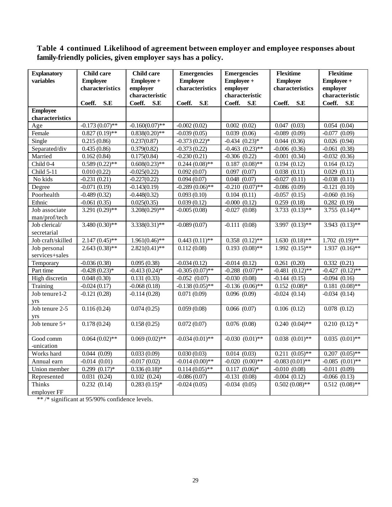## **Table 4 continued Likelihood of agreement between employer and employee responses about family-friendly policies, given employer says has a policy.**

| <b>Employee</b><br>variables<br><b>Employee</b><br>Employee +<br><b>Employee</b><br>Employee +<br>characteristics<br>employer<br>characteristics<br>employer<br>characteristics<br>employer |            |  |
|---------------------------------------------------------------------------------------------------------------------------------------------------------------------------------------------|------------|--|
|                                                                                                                                                                                             | Employee + |  |
|                                                                                                                                                                                             |            |  |
| characteristic<br>characteristic<br>characteristic                                                                                                                                          |            |  |
| S.E<br>Coeff.<br>S.E<br>Coeff.<br>Coeff.<br>S.E<br>Coeff.<br>Coeff.<br>S.E<br>Coeff.<br>S.E                                                                                                 | S.E        |  |
| <b>Employee</b>                                                                                                                                                                             |            |  |
| characteristics                                                                                                                                                                             |            |  |
| $-0.173(0.07)$ **<br>$-0.160(0.07)$ **<br>0.002(0.02)<br>0.047(0.03)<br>0.054(0.04)<br>$-0.002(0.02)$<br>Age                                                                                |            |  |
| 0.039(0.06)<br>$-0.089(0.09)$<br>$-0.077(0.09)$<br>Female<br>$0.827(0.19)$ **<br>$0.838(0.20)**$<br>$-0.039(0.05)$                                                                          |            |  |
| Single<br>0.215(0.86)<br>0.237(0.87)<br>$-0.373(0.22)$ *<br>$-0.434$ $(0.23)*$<br>0.044(0.36)<br>0.026(0.94)                                                                                |            |  |
| Separated/div<br>0.435(0.86)<br>$-0.463$ $(0.23)$ **<br>$-0.006$ $(0.36)$<br>$-0.061(0.38)$<br>0.379(0.82)<br>$-0.373(0.22)$                                                                |            |  |
| Married<br>0.162(0.84)<br>$-0.306$ $(0.22)$<br>0.175(0.84)<br>$-0.230(0.21)$<br>$-0.001$ $(0.34)$<br>$-0.032(0.36)$                                                                         |            |  |
| $0.589(0.22)$ **<br>$\overline{0.187}$ $(0.08)$ **<br>Child 0-4<br>$0.608(0.23)$ **<br>$0.244(0.08)$ **<br>0.194(0.12)<br>0.164(0.12)                                                       |            |  |
| 0.092(0.07)<br>0.097<br>(0.07)<br>0.038(0.11)<br>0.029(0.11)<br>Child 5-11<br>0.010(0.22)<br>$-0.025(0.22)$                                                                                 |            |  |
| No kids<br>$-0.231(0.21)$<br>$-0.227(0.22)$<br>0.048(0.07)<br>$-0.027(0.11)$<br>$-0.038(0.11)$<br>0.094(0.07)                                                                               |            |  |
| $-0.071(0.19)$<br>$-0.289(0.06)$ **<br>$-0.210$ $(0.07)$ **<br>$-0.086(0.09)$<br>(0.10)<br>Degree<br>$-0.143(0.19)$<br>$-0.121$                                                             |            |  |
| Poorhealth<br>0.093(0.10)<br>0.104(0.11)<br>$-0.057(0.15)$<br>$-0.060$ $(0.16)$<br>$-0.489(0.32)$<br>$-0.448(0.32)$                                                                         |            |  |
| $-0.000(0.12)$<br>0.259(0.18)<br>Ethnic<br>$-0.061(0.35)$<br>0.025(0.35)<br>0.039(0.12)<br>0.282(0.19)                                                                                      |            |  |
| 3.755 $(0.14)$ **<br>$3.291(0.29)$ **<br>$3.208(0.29)$ **<br>$-0.027(0.08)$<br>$3.733$ $(0.13)$ **<br>Job associate<br>$-0.005(0.08)$                                                       |            |  |
| man/prof/tech                                                                                                                                                                               |            |  |
| $3.480(0.30)$ **<br>$3.997$ $(0.13)$ **<br>$3.338(0.31)$ **<br>$-0.089(0.07)$<br>$-0.111(0.08)$<br>$3.943$ $(0.13)$ **<br>Job clerical/                                                     |            |  |
| secretarial                                                                                                                                                                                 |            |  |
| Job craft/skilled<br>$2.147(0.45)$ **<br>$1.961(0.46)$ **<br>$0.443(0.11)$ **<br>$0.358$ $(0.12)$ **<br>$1.630(0.18)$ **<br>$1.702 (0.19)$ **                                               |            |  |
| Job personal<br>$2.643(0.38)$ **<br>$2.821(0.41)$ **<br>0.112(0.08)<br>$0.193$ $(0.08)$ **<br>$1.992(0.15)$ **<br>$1.937(0.16)$ **                                                          |            |  |
| services+sales                                                                                                                                                                              |            |  |
| 0.095(0.38)<br>$-0.014(0.12)$<br>0.261(0.20)<br>Temporary<br>$-0.036(0.38)$<br>$-0.034(0.12)$<br>0.332(0.21)                                                                                |            |  |
| $-0.305(0.07)$ **<br>$-0.288$ $(0.07)$ **<br>$-0.427$ $(0.12)$ **<br>Part time<br>$-0.428(0.23)*$<br>$-0.413(0.24)$ *<br>$-0.481$ $(0.12)$ **                                               |            |  |
| High discretin<br>0.048(0.30)<br>0.131(0.33)<br>$-0.030(0.08)$<br>$-0.052(0.07)$<br>$-0.144(0.15)$<br>$-0.094(0.16)$                                                                        |            |  |
| $-0.136$ $(0.06)$ **<br>$0.181 (0.08)$ **<br>$-0.024(0.17)$<br>$-0.068(0.18)$<br>$-0.138(0.05)$ **<br>$0.152(0.08)*$<br>Training                                                            |            |  |
| Job tenure 1-2<br>$-0.121(0.28)$<br>$-0.114(0.28)$<br>0.071(0.09)<br>0.096(0.09)<br>$-0.024(0.14)$<br>$-0.034(0.14)$                                                                        |            |  |
| yrs                                                                                                                                                                                         |            |  |
| Job tenure 2-5<br>0.116(0.24)<br>0.074(0.25)<br>0.059(0.08)<br>0.066(0.07)<br>0.078(0.12)<br>0.106(0.12)<br>yrs                                                                             |            |  |
| $0.240(0.04)$ **<br>$0.210(0.12)$ *<br>Job tenure 5+<br>0.178(0.24)<br>0.158(0.25)<br>0.072(0.07)<br>0.076(0.08)                                                                            |            |  |
|                                                                                                                                                                                             |            |  |
| $-0.030(0.01)$ **<br>$0.038$ $(0.01)$ **<br>$0.064(0.02)$ **<br>$0.069(0.02)$ **<br>$-0.034(0.01)$ **<br>$0.035$ $(0.01)$ **<br>Good comm                                                   |            |  |
| -unication                                                                                                                                                                                  |            |  |
| Works hard<br>0.044(0.09)<br>0.033(0.09)<br>0.014(0.03)<br>$0.211(0.05)$ **<br>$0.207$ $(0.05)$ **<br>0.030(0.03)                                                                           |            |  |
| Annual earn<br>$-0.014(0.01)$<br>$-0.017(0.02)$<br>$-0.014(0.00)**$<br>$-0.020$ $(0.00)**$<br>$-0.083(0.01)$ **<br>$-0.085$ $(0.01)$ **                                                     |            |  |
| $0.299(0.17)*$<br>$0.336(0.18)*$<br>$0.114(0.05)$ **<br>$0.117(0.06)*$<br>$-0.010(0.08)$<br>$-0.011(0.09)$<br>Union member                                                                  |            |  |
| $-0.131(0.08)$<br>0.031(0.24)<br>0.102(0.24)<br>$-0.086(0.07)$<br>$-0.004$ $(0.12)$<br>$-0.066$ $(0.13)$<br>Represented                                                                     |            |  |
| <b>Thinks</b><br>$0.502(0.08)$ **<br>$0.512(0.08)$ **<br>0.232(0.14)<br>$0.283(0.15)*$<br>$-0.024(0.05)$<br>$-0.034(0.05)$                                                                  |            |  |
| employer FF                                                                                                                                                                                 |            |  |

\*\* /\* significant at 95/90% confidence levels.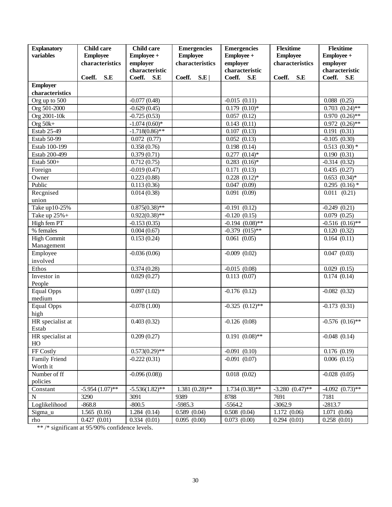| <b>Explanatory</b>           | <b>Child care</b> | <b>Child care</b>                    | <b>Emergencies</b> | <b>Emergencies</b>         | <b>Flexitime</b>  | <b>Flexitime</b>                           |
|------------------------------|-------------------|--------------------------------------|--------------------|----------------------------|-------------------|--------------------------------------------|
| variables                    | <b>Employee</b>   | Employee +                           | <b>Employee</b>    | Employee +                 | <b>Employee</b>   | Employee +                                 |
|                              | characteristics   | employer                             | characteristics    | employer                   | characteristics   | employer                                   |
|                              |                   | characteristic                       |                    | characteristic             |                   | characteristic                             |
|                              | Coeff.<br>S.E     | Coeff.<br>S.E                        | Coeff.<br>S.E      | Coeff.<br>S.E              | Coeff.<br>S.E     | Coeff.<br>S.E                              |
| <b>Employer</b>              |                   |                                      |                    |                            |                   |                                            |
| characteristics              |                   |                                      |                    |                            |                   |                                            |
| Org up to 500                |                   | $-0.077(0.48)$                       |                    | $-0.015(0.11)$             |                   | 0.088(0.25)                                |
| Org 501-2000<br>Org 2001-10k |                   | $-0.629(0.45)$                       |                    | $0.179(0.10)*$             |                   | $0.703$ $(0.24)$ **<br>$0.970$ $(0.26)$ ** |
|                              |                   | $-0.725(0.53)$                       |                    | 0.057(0.12)                |                   |                                            |
| Org $50k+$<br>Estab 25-49    |                   | $-1.074(0.60)*$<br>$-1.718(0.86)$ ** |                    | 0.143(0.11)<br>0.107(0.13) |                   | $0.972(0.26)$ **<br>0.191(0.31)            |
| Estab 50-99                  |                   | 0.072(0.77)                          |                    | 0.052(0.13)                |                   | $-0.105(0.30)$                             |
| Estab 100-199                |                   | 0.358(0.76)                          |                    | 0.198(0.14)                |                   | $0.513$ $(0.30)$ *                         |
| Estab 200-499                |                   | 0.379(0.71)                          |                    | $0.277$ $(0.14)$ *         |                   | 0.190(0.31)                                |
| Estab 500+                   |                   | 0.712(0.75)                          |                    | $0.283$ $(0.16)*$          |                   | $-0.314(0.32)$                             |
| Foreign                      |                   | $-0.019(0.47)$                       |                    | 0.171(0.13)                |                   | 0.435(0.27)                                |
| Owner                        |                   | 0.223(0.88)                          |                    | $0.228$ $(0.12)$ *         |                   | $0.653$ $(0.34)$ *                         |
| Public                       |                   | 0.113(0.36)                          |                    | 0.047(0.09)                |                   | $0.295$ $(0.16)$ *                         |
| Recgnised                    |                   | 0.014(0.38)                          |                    | 0.091(0.09)                |                   | $0.011$ $(0.21)$                           |
| union                        |                   |                                      |                    |                            |                   |                                            |
| Take up10-25%                |                   | $0.875(0.38)$ **                     |                    | $-0.191(0.12)$             |                   | $-0.249(0.21)$                             |
| Take up $25\%$ +             |                   | $0.922(0.38)$ **                     |                    | $-0.120(0.15)$             |                   | 0.079(0.25)                                |
| High fem PT                  |                   | $-0.153(0.35)$                       |                    | $-0.194$ $(0.08)$ **       |                   | $-0.516$ $(0.16)$ **                       |
| % females                    |                   | 0.004(0.67)                          |                    | $-0.379$ $(015)*$          |                   | 0.120(0.32)                                |
| <b>High Commit</b>           |                   | 0.153(0.24)                          |                    | 0.061(0.05)                |                   | 0.164(0.11)                                |
| Management                   |                   |                                      |                    |                            |                   |                                            |
| Employee                     |                   | $-0.036(0.06)$                       |                    | $-0.009$ $(0.02)$          |                   | 0.047(0.03)                                |
| involved                     |                   |                                      |                    |                            |                   |                                            |
| Ethos                        |                   | 0.374(0.28)                          |                    | $-0.015(0.08)$             |                   | 0.029(0.15)                                |
| Investor in                  |                   | 0.029(0.27)                          |                    | 0.113(0.07)                |                   | 0.174(0.14)                                |
| People                       |                   |                                      |                    |                            |                   |                                            |
| <b>Equal Opps</b><br>medium  |                   | 0.097(1.02)                          |                    | $-0.176(0.12)$             |                   | $-0.082(0.32)$                             |
|                              |                   |                                      |                    | $-0.325(0.12)$ **          |                   | $-0.173(0.31)$                             |
| <b>Equal Opps</b>            |                   | $-0.078(1.00)$                       |                    |                            |                   |                                            |
| high<br>HR specialist at     |                   | 0.403(0.32)                          |                    | $-0.126(0.08)$             |                   | $-0.576$ $(0.16)$ **                       |
| Estab                        |                   |                                      |                    |                            |                   |                                            |
| HR specialist at             |                   | 0.209(0.27)                          |                    | $0.191 (0.08)$ **          |                   | $-0.048(0.14)$                             |
| HO                           |                   |                                      |                    |                            |                   |                                            |
| FF Costly                    |                   | $0.573(0.29)$ **                     |                    | $-0.091(0.10)$             |                   | 0.176(0.19)                                |
| Family Friend                |                   | $-0.222(0.31)$                       |                    | $-0.091(0.07)$             |                   | 0.006(0.15)                                |
| Worth it                     |                   |                                      |                    |                            |                   |                                            |
| Number of ff                 |                   | $-0.096(0.08)$                       |                    | 0.018(0.02)                |                   | $-0.028(0.05)$                             |
| policies                     |                   |                                      |                    |                            |                   |                                            |
| Constant                     | $-5.954(1.07)$ ** | $-5.536(1.82)$ **                    | $1.381(0.28)$ **   | $1.734(0.38)$ **           | $-3.280(0.47)$ ** | $-4.092$ $(0.73)$ **                       |
| ${\bf N}$                    | 3290              | 3091                                 | 9389               | 8788                       | 7691              | 7181                                       |
| Loglikelihood                | $-868.8$          | $-800.5$                             | $-5985.3$          | $-5564.2$                  | $-3062.9$         | $-2813.7$                                  |
| Sigma_u                      | 1.565(0.16)       | 1.284(0.14)                          | 0.589(0.04)        | 0.508(0.04)                | 1.172(0.06)       | 1.071(0.06)                                |
| rho                          | 0.427(0.01)       | 0.334(0.01)                          | 0.095(0.00)        | 0.073(0.00)                | 0.294(0.01)       | 0.258(0.01)                                |

\*\*/\* significant at 95/90% confidence levels.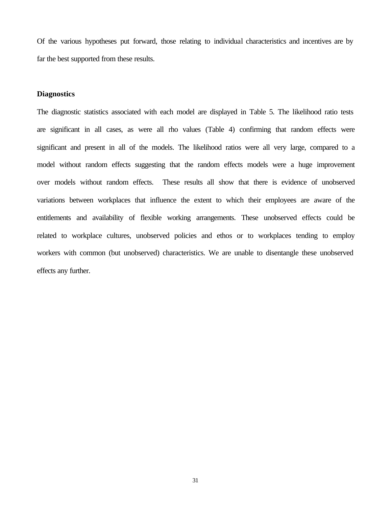Of the various hypotheses put forward, those relating to individual characteristics and incentives are by far the best supported from these results.

#### **Diagnostics**

The diagnostic statistics associated with each model are displayed in Table 5. The likelihood ratio tests are significant in all cases, as were all rho values (Table 4) confirming that random effects were significant and present in all of the models. The likelihood ratios were all very large, compared to a model without random effects suggesting that the random effects models were a huge improvement over models without random effects. These results all show that there is evidence of unobserved variations between workplaces that influence the extent to which their employees are aware of the entitlements and availability of flexible working arrangements. These unobserved effects could be related to workplace cultures, unobserved policies and ethos or to workplaces tending to employ workers with common (but unobserved) characteristics. We are unable to disentangle these unobserved effects any further.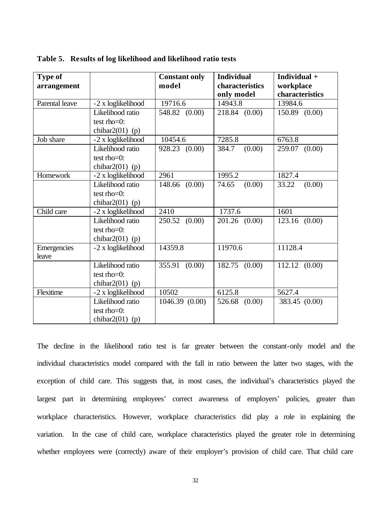| <b>Type of</b> |                    | <b>Constant only</b>  | <b>Individual</b>             | Individual +                 |
|----------------|--------------------|-----------------------|-------------------------------|------------------------------|
| arrangement    |                    | model                 | characteristics<br>only model | workplace<br>characteristics |
| Parental leave | -2 x loglikelihood | 19716.6               | 14943.8                       | 13984.6                      |
|                | Likelihood ratio   | 548.82 (0.00)         | 218.84 (0.00)                 | 150.89 (0.00)                |
|                | test $rho=0$ :     |                       |                               |                              |
|                | chibar $2(01)$ (p) |                       |                               |                              |
| Job share      | -2 x loglikelihood | 10454.6               | 7285.8                        | 6763.8                       |
|                | Likelihood ratio   | 928.23 (0.00)         | (0.00)<br>384.7               | 259.07<br>(0.00)             |
|                | test $rho=0$ :     |                       |                               |                              |
|                | chibar $2(01)$ (p) |                       |                               |                              |
| Homework       | -2 x loglikelihood | 2961                  | 1995.2                        | 1827.4                       |
|                | Likelihood ratio   | 148.66 (0.00)         | (0.00)<br>74.65               | (0.00)<br>33.22              |
|                | test $rho=0$ :     |                       |                               |                              |
|                | chibar $2(01)$ (p) |                       |                               |                              |
| Child care     | -2 x loglikelihood | 2410                  | 1737.6                        | 1601                         |
|                | Likelihood ratio   | 250.52<br>(0.00)      | 201.26 (0.00)                 | (0.00)<br>123.16             |
|                | test $rho=0$ :     |                       |                               |                              |
|                | chibar $2(01)$ (p) |                       |                               |                              |
| Emergencies    | -2 x loglikelihood | $\overline{1}$ 4359.8 | 11970.6                       | 11128.4                      |
| leave          |                    |                       |                               |                              |
|                | Likelihood ratio   | (0.00)<br>355.91      | 182.75 (0.00)                 | 112.12 (0.00)                |
|                | test $rho=0$ :     |                       |                               |                              |
|                | chibar $2(01)$ (p) |                       |                               |                              |
| Flexitime      | -2 x loglikelihood | 10502                 | 6125.8                        | 5627.4                       |
|                | Likelihood ratio   | 1046.39 (0.00)        | 526.68<br>(0.00)              | 383.45 (0.00)                |
|                | test $rho=0$ :     |                       |                               |                              |
|                | chibar $2(01)$ (p) |                       |                               |                              |

|  |  |  |  |  | Table 5. Results of log likelihood and likelihood ratio tests |  |  |
|--|--|--|--|--|---------------------------------------------------------------|--|--|
|--|--|--|--|--|---------------------------------------------------------------|--|--|

The decline in the likelihood ratio test is far greater between the constant-only model and the individual characteristics model compared with the fall in ratio between the latter two stages, with the exception of child care. This suggests that, in most cases, the individual's characteristics played the largest part in determining employees' correct awareness of employers' policies, greater than workplace characteristics. However, workplace characteristics did play a role in explaining the variation. In the case of child care, workplace characteristics played the greater role in determining whether employees were (correctly) aware of their employer's provision of child care. That child care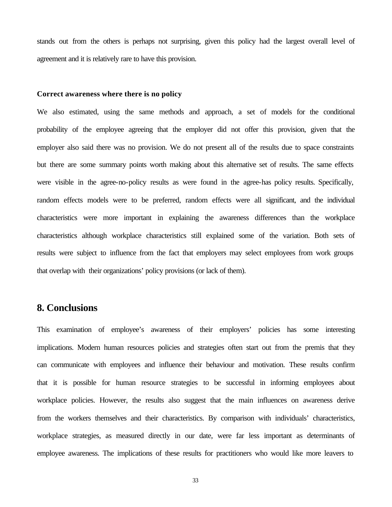stands out from the others is perhaps not surprising, given this policy had the largest overall level of agreement and it is relatively rare to have this provision.

#### **Correct awareness where there is no policy**

We also estimated, using the same methods and approach, a set of models for the conditional probability of the employee agreeing that the employer did not offer this provision, given that the employer also said there was no provision. We do not present all of the results due to space constraints but there are some summary points worth making about this alternative set of results. The same effects were visible in the agree-no-policy results as were found in the agree-has policy results. Specifically, random effects models were to be preferred, random effects were all significant, and the individual characteristics were more important in explaining the awareness differences than the workplace characteristics although workplace characteristics still explained some of the variation. Both sets of results were subject to influence from the fact that employers may select employees from work groups that overlap with their organizations' policy provisions (or lack of them).

## **8. Conclusions**

This examination of employee's awareness of their employers' policies has some interesting implications. Modern human resources policies and strategies often start out from the premis that they can communicate with employees and influence their behaviour and motivation. These results confirm that it is possible for human resource strategies to be successful in informing employees about workplace policies. However, the results also suggest that the main influences on awareness derive from the workers themselves and their characteristics. By comparison with individuals' characteristics, workplace strategies, as measured directly in our date, were far less important as determinants of employee awareness. The implications of these results for practitioners who would like more leavers to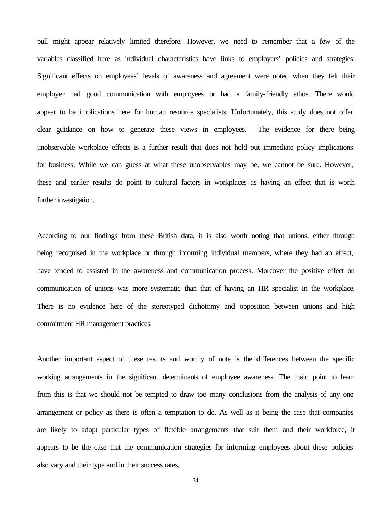pull might appear relatively limited therefore. However, we need to remember that a few of the variables classified here as individual characteristics have links to employers' policies and strategies. Significant effects on employees' levels of awareness and agreement were noted when they felt their employer had good communication with employees or had a family-friendly ethos. There would appear to be implications here for human resource specialists. Unfortunately, this study does not offer clear guidance on how to generate these views in employees. The evidence for there being unobservable workplace effects is a further result that does not hold out immediate policy implications for business. While we can guess at what these unobservables may be, we cannot be sure. However, these and earlier results do point to cultural factors in workplaces as having an effect that is worth further investigation.

According to our findings from these British data, it is also worth noting that unions, either through being recognised in the workplace or through informing individual members, where they had an effect, have tended to assisted in the awareness and communication process. Moreover the positive effect on communication of unions was more systematic than that of having an HR specialist in the workplace. There is no evidence here of the stereotyped dichotomy and opposition between unions and high commitment HR management practices.

Another important aspect of these results and worthy of note is the differences between the specific working arrangements in the significant determinants of employee awareness. The main point to learn from this is that we should not be tempted to draw too many conclusions from the analysis of any one arrangement or policy as there is often a temptation to do. As well as it being the case that companies are likely to adopt particular types of flexible arrangements that suit them and their workforce, it appears to be the case that the communication strategies for informing employees about these policies also vary and their type and in their success rates.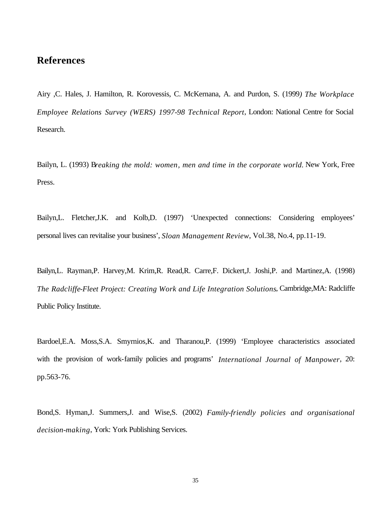## **References**

Airy ,C. Hales, J. Hamilton, R. Korovessis, C. McKernana, A. and Purdon, S. (1999*) The Workplace Employee Relations Survey (WERS) 1997-98 Technical Report*, London: National Centre for Social Research.

Bailyn, L. (1993) B*reaking the mold: women, men and time in the corporate world.* New York, Free Press.

Bailyn,L. Fletcher,J.K. and Kolb,D. (1997) 'Unexpected connections: Considering employees' personal lives can revitalise your business', *Sloan Management Review*, Vol.38, No.4, pp.11-19.

Bailyn,L. Rayman,P. Harvey,M. Krim,R. Read,R. Carre,F. Dickert,J. Joshi,P. and Martinez,A. (1998) *The Radcliffe-Fleet Project: Creating Work and Life Integration Solutions*, Cambridge,MA: Radcliffe Public Policy Institute.

Bardoel,E.A. Moss,S.A. Smyrnios,K. and Tharanou,P. (1999) 'Employee characteristics associated with the provision of work-family policies and programs' *International Journal of Manpower*, 20: pp.563-76.

Bond,S. Hyman,J. Summers,J. and Wise,S. (2002) *Family-friendly policies and organisational decision-making*, York: York Publishing Services.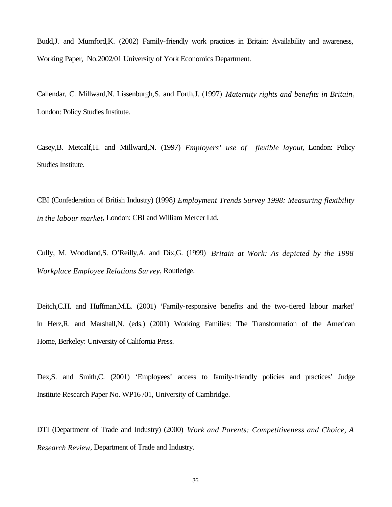Budd,J. and Mumford,K. (2002) Family-friendly work practices in Britain: Availability and awareness, Working Paper, No.2002/01 University of York Economics Department.

Callendar, C. Millward,N. Lissenburgh,S. and Forth,J. (1997) *Maternity rights and benefits in Britain*, London: Policy Studies Institute.

Casey,B. Metcalf,H. and Millward,N. (1997) *Employers' use of flexible layout*, London: Policy Studies Institute.

CBI (Confederation of British Industry) (1998*) Employment Trends Survey 1998: Measuring flexibility in the labour market*, London: CBI and William Mercer Ltd.

Cully, M. Woodland,S. O'Reilly,A. and Dix,G. (1999) *Britain at Work: As depicted by the 1998 Workplace Employee Relations Survey*, Routledge.

Deitch,C.H. and Huffman,M.L. (2001) 'Family-responsive benefits and the two-tiered labour market' in Herz,R. and Marshall,N. (eds.) (2001) Working Families: The Transformation of the American Home, Berkeley: University of California Press.

Dex,S. and Smith,C. (2001) 'Employees' access to family-friendly policies and practices' Judge Institute Research Paper No. WP16 /01, University of Cambridge.

DTI (Department of Trade and Industry) (2000) *Work and Parents: Competitiveness and Choice, A Research Review*, Department of Trade and Industry.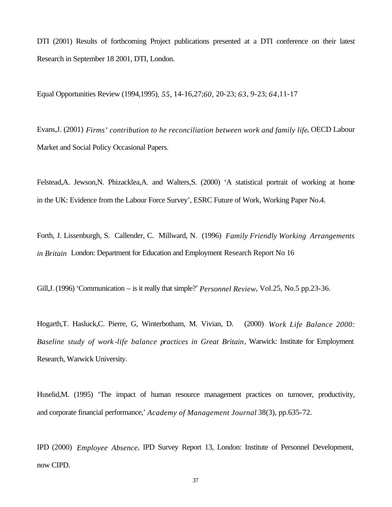DTI (2001) Results of forthcoming Project publications presented at a DTI conference on their latest Research in September 18 2001, DTI, London.

Equal Opportunities Review (1994,1995)*, 55,* 14-16,27;*60,* 20-23; *63*, 9-23; *64*,11-17

Evans,J. (2001) *Firms' contribution to he reconciliation between work and family life*, OECD Labour Market and Social Policy Occasional Papers.

Felstead,A. Jewson,N. Phizacklea,A. and Walters,S. (2000) 'A statistical portrait of working at home in the UK: Evidence from the Labour Force Survey', ESRC Future of Work, Working Paper No.4.

Forth, J. Lissenburgh, S. Callender, C. Millward, N. (1996) *Family Friendly Working Arrangements in Britain* London: Department for Education and Employment Research Report No 16

Gill,J. (1996) 'Communication – is it really that simple?' *Personnel Review*, Vol.25, No.5 pp.23-36.

Hogarth,T. Hasluck,C. Pierre, G, Winterbotham, M. Vivian, D. (2000) *Work Life Balance 2000: Baseline study of work -life balance practices in Great Britain*, Warwick: Institute for Employment Research, Warwick University.

Huselid,M. (1995) 'The impact of human resource management practices on turnover, productivity, and corporate financial performance,' *Academy of Management Journal* 38(3), pp.635-72.

IPD (2000) *Employee Absence*, IPD Survey Report 13, London: Institute of Personnel Development, now CIPD.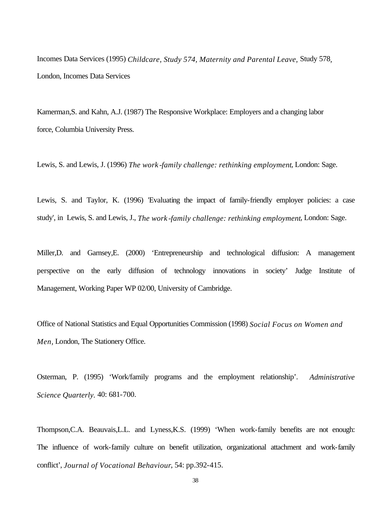Incomes Data Services (1995) *Childcare, Study 574, Maternity and Parental Leave,* Study 578*,* London, Incomes Data Services

Kamerman,S. and Kahn, A.J. (1987) The Responsive Workplace: Employers and a changing labor force, Columbia University Press.

Lewis, S. and Lewis, J. (1996) *The work -family challenge: rethinking employment*, London: Sage.

Lewis, S. and Taylor, K. (1996) 'Evaluating the impact of family-friendly employer policies: a case study', in Lewis, S. and Lewis, J., *The work -family challenge: rethinking employment*, London: Sage.

Miller,D. and Garnsey,E. (2000) 'Entrepreneurship and technological diffusion: A management perspective on the early diffusion of technology innovations in society' Judge Institute of Management, Working Paper WP 02/00, University of Cambridge.

Office of National Statistics and Equal Opportunities Commission (1998) *Social Focus on Women and Men,* London, The Stationery Office.

Osterman, P. (1995) 'Work/family programs and the employment relationship'. *Administrative Science Quarterly.* 40: 681-700.

Thompson,C.A. Beauvais,L.L. and Lyness,K.S. (1999) 'When work-family benefits are not enough: The influence of work-family culture on benefit utilization, organizational attachment and work-family conflict', *Journal of Vocational Behaviour*, 54: pp.392-415.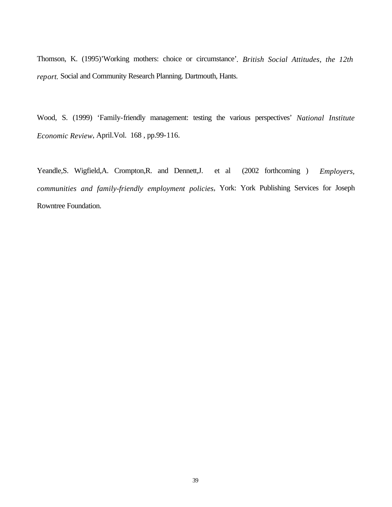Thomson, K. (1995)'Working mothers: choice or circumstance'*. British Social Attitudes, the 12th report.* Social and Community Research Planning. Dartmouth, Hants.

Wood, S. (1999) 'Family-friendly management: testing the various perspectives' *National Institute Economic Review*, April.Vol. 168 , pp.99-116.

Yeandle,S. Wigfield,A. Crompton,R. and Dennett,J. et al (2002 forthcoming ) *Employers, communities and family-friendly employment policies*, York: York Publishing Services for Joseph Rowntree Foundation.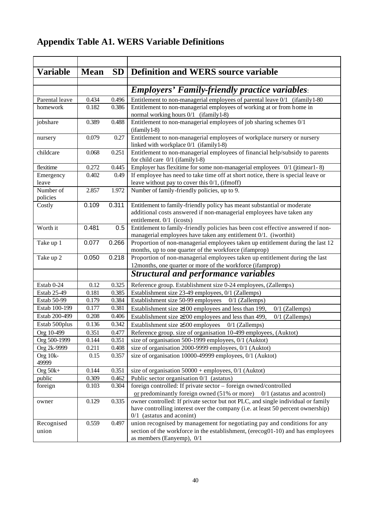## **Appendix Table A1. WERS Variable Definitions**

| <b>Variable</b>             | <b>Mean</b>    | SD             | <b>Definition and WERS source variable</b>                                                                                                                                   |
|-----------------------------|----------------|----------------|------------------------------------------------------------------------------------------------------------------------------------------------------------------------------|
|                             |                |                |                                                                                                                                                                              |
|                             |                |                | <b>Employers' Family-friendly practice variables:</b>                                                                                                                        |
| Parental leave              | 0.434          | 0.496          | Entitlement to non-managerial employees of parental leave 0/1 (ifamily 1-80)                                                                                                 |
| homework                    | 0.182          | 0.386          | Entitlement to non-managerial employees of working at or from home in<br>normal working hours 0/1 (ifamily 1-8)                                                              |
| jobshare                    | 0.389          | 0.488          | Entitlement to non-managerial employees of job sharing schemes 0/1<br>$(ifamily 1-8)$                                                                                        |
| nursery                     | 0.079          | 0.27           | Entitlement to non-managerial employees of workplace nursery or nursery<br>linked with workplace 0/1 (ifamily 1-8)                                                           |
| childcare                   | 0.068          | 0.251          | Entitlement to non-managerial employees of financial help/subsidy to parents<br>for child care $0/1$ (if amily 1-8)                                                          |
| flexitime                   | 0.272          | 0.445          | Employer has flexitime for some non-managerial employees 0/1 (jtimear1-8)                                                                                                    |
| Emergency                   | 0.402          | 0.49           | If employee has need to take time off at short notice, there is special leave or                                                                                             |
| leave                       |                |                | leave without pay to cover this $0/1$ , (if moff)                                                                                                                            |
| Number of<br>policies       | 2.857          | 1.972          | Number of family-friendly policies, up to 9.                                                                                                                                 |
| Costly                      | 0.109          | 0.311          | Entitlement to family-friendly policy has meant substantial or moderate<br>additional costs answered if non-managerial employees have taken any<br>entitlement. 0/1 (icosts) |
| Worth it                    | 0.481          | 0.5            | Entitlement to family-friendly policies has been cost effective answered if non-<br>managerial employees have taken any entitlement 0/1. (iworthit)                          |
| Take up 1                   | 0.077          | 0.266          | Proportion of non-managerial employees taken up entitlement during the last 12<br>months, up to one quarter of the workforce (ifamprop)                                      |
| Take up 2                   | 0.050          | 0.218          | Proportion of non-managerial employees taken up entitlement during the last                                                                                                  |
|                             |                |                | 12months, one quarter or more of the workforce (ifamprop)                                                                                                                    |
|                             |                |                | <b>Structural and performance variables</b>                                                                                                                                  |
| Estab 0-24                  | 0.12           | 0.325          | Reference group. Establishment size 0-24 employees, (Zallemps)                                                                                                               |
| Estab 25-49                 | 0.181          | 0.385          | Establishment size 23-49 employees, 0/1 (Zallemps)                                                                                                                           |
| Estab 50-99                 | 0.179          | 0.384          | Establishment size 50-99 employees<br>$0/1$ (Zallemps)                                                                                                                       |
| Estab 100-199               | 0.177          | 0.381          | Establishment size $\geq 100$ employees and less than 199,<br>$0/1$ (Zallemps)                                                                                               |
| Estab 200-499               | 0.208          | 0.406          | Establishment size $\geq 200$ employees and less than 499,<br>$0/1$ (Zallemps)                                                                                               |
| Estab 500plus               | 0.136          | 0.342          | Establishment size ≥500 employees<br>$0/1$ (Zallemps)                                                                                                                        |
| Org 10-499                  | 0.351          | 0.477          | Reference group. size of organisation 10-499 employees, (Auktot)                                                                                                             |
| Org 500-1999<br>Org 2k-9999 | 0.144<br>0.211 | 0.351<br>0.408 | size of organisation 500-1999 employees, 0/1 (Auktot)<br>size of organisation 2000-9999 employees, 0/1 (Auktot)                                                              |
| Org 10k-                    | 0.15           | 0.357          | size of organisation 10000-49999 employees, 0/1 (Auktot)                                                                                                                     |
| 49999<br>Org $50k+$         | 0.144          | 0.351          | size of organisation $50000 +$ employees, $0/1$ (Auktot)                                                                                                                     |
| public                      | 0.309          | 0.462          | Public sector organisation $0/1$ (astatus)                                                                                                                                   |
| foreign                     | 0.103          | 0.304          | foreign controlled: If private sector - foreign owned/controlled                                                                                                             |
|                             |                |                | or predominantly foreign owned (51% or more)<br>$0/1$ (astatus and acontrol)                                                                                                 |
| owner                       | 0.129          | 0.335          | owner controlled: If private sector but not PLC, and single individual or family                                                                                             |
|                             |                |                | have controlling interest over the company (i.e. at least 50 percent ownership)                                                                                              |
|                             |                |                | $0/1$ (astatus and aconint)                                                                                                                                                  |
| Recognised                  | 0.559          | 0.497          | union recognised by management for negotiating pay and conditions for any                                                                                                    |
| union                       |                |                | section of the workforce in the establishment, (erecog01-10) and has employees                                                                                               |
|                             |                |                | as members (Eanyemp), 0/1                                                                                                                                                    |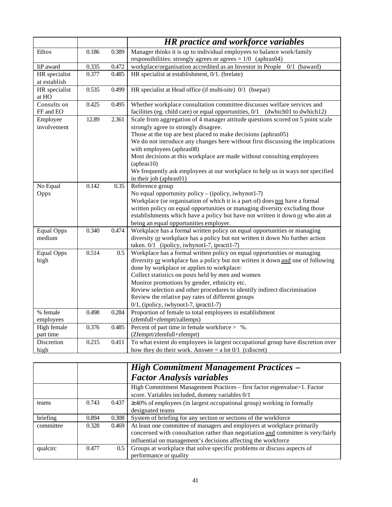|                          |       |       | <b>HR</b> practice and workforce variables                                                                                               |
|--------------------------|-------|-------|------------------------------------------------------------------------------------------------------------------------------------------|
| Ethos                    | 0.186 | 0.389 | Manager thinks it is up to individual employees to balance work/family<br>responsibilities: strongly agrees or agrees $= 1/0$ (aphras04) |
| IiP award                | 0.335 | 0.472 | workplace/organisation accredited as an Investor in People<br>$0/1$ (baward)                                                             |
| HR specialist            | 0.377 | 0.485 | HR specialist at establishment, 0/1. (brelate)                                                                                           |
| at establish             |       |       |                                                                                                                                          |
| HR specialist<br>at HO   | 0.535 | 0.499 | HR specialist at Head office (if multi-site) 0/1 (bsepar)                                                                                |
| Consults on              | 0.425 | 0.495 | Whether workplace consultation committee discusses welfare services and                                                                  |
| FF and EO                |       |       | facilities (eg. child care) or equal opportunities, 0/1<br>(dwhich01 to dwhich12)                                                        |
| Employee<br>involvement  | 12.89 | 2.361 | Scale from aggregation of 4 manager attitude questions scored on 5 point scale<br>strongly agree to strongly disagree.                   |
|                          |       |       | Those at the top are best placed to make decisions (aphras05)                                                                            |
|                          |       |       | We do not introduce any changes here without first discussing the implications                                                           |
|                          |       |       | with employees (aphras08)                                                                                                                |
|                          |       |       | Most decisions at this workplace are made without consulting employees<br>$(\text{aphras}10)$                                            |
|                          |       |       | We frequently ask employees at our workplace to help us in ways not specified                                                            |
|                          |       |       | in their job (aphras01)                                                                                                                  |
| No Equal                 | 0.142 | 0.35  | Reference group                                                                                                                          |
| Opps                     |       |       | No equal opportunity policy - (ipolicy, iwhynot1-7)                                                                                      |
|                          |       |       | Workplace (or organisation of which it is a part of) does not have a formal                                                              |
|                          |       |       | written policy on equal opportunities or managing diversity excluding those                                                              |
|                          |       |       | establishments which have a policy but have not written it down or who aim at                                                            |
|                          |       |       | being an equal opportunities employer.                                                                                                   |
| <b>Equal Opps</b>        | 0.340 | 0.474 | Workplace has a formal written policy on equal opportunities or managing                                                                 |
| medium                   |       |       | diversity or workplace has a policy but not written it down No further action                                                            |
|                          |       |       | taken. 0/1 (ipolicy, iwhynot1-7, ipracti1-7)                                                                                             |
| <b>Equal Opps</b>        | 0.514 | 0.5   | Workplace has a formal written policy on equal opportunities or managing                                                                 |
| high                     |       |       | diversity or workplace has a policy but not written it down and one of following                                                         |
|                          |       |       | done by workplace or applies to workplace:                                                                                               |
|                          |       |       | Collect statistics on posts held by men and women                                                                                        |
|                          |       |       | Monitor promotions by gender, ethnicity etc.                                                                                             |
|                          |       |       | Review selection and other procedures to identify indirect discrimination                                                                |
|                          |       |       | Review the relative pay rates of different groups                                                                                        |
|                          |       |       | 0/1, (ipolicy, iwhynot1-7, ipracti1-7)                                                                                                   |
| % female                 | 0.498 | 0.284 | Proportion of female to total employees in establishment                                                                                 |
| employees                | 0.376 |       | (zfemfull+zfemprt/zallemps)<br>Percent of part time in female workforce $>$ %.                                                           |
| High female<br>part time |       | 0.485 | (Zfemprt/zfemfull+zfemprt)                                                                                                               |
| Discretion               | 0.215 | 0.411 | To what extent do employees in largest occupational group have discretion over                                                           |
| high                     |       |       | how they do their work. Answer = $a$ lot $0/1$ (cdiscret)                                                                                |
|                          |       |       |                                                                                                                                          |

|           |       |       | <b>High Commitment Management Practices –</b>                                                                                                                                                                                |
|-----------|-------|-------|------------------------------------------------------------------------------------------------------------------------------------------------------------------------------------------------------------------------------|
|           |       |       | <b>Factor Analysis variables</b>                                                                                                                                                                                             |
|           |       |       | High Commitment Management Practices - first factor eigenvalue>1. Factor<br>score. Variables included, dummy variables 0/1                                                                                                   |
| teams     | 0.743 | 0.437 | $\geq$ 40% of employees (in largest occupational group) working in formally<br>designated teams                                                                                                                              |
| briefing  | 0.894 | 0.308 | System of briefing for any section or sections of the workforce                                                                                                                                                              |
| committee | 0.328 | 0.469 | At least one committee of managers and employers at workplace primarily<br>concerned with consultation rather than negotiation and committee is very/fairly<br>influential on management's decisions affecting the workforce |
| qualcirc  | 0.477 | 0.5   | Groups at workplace that solve specific problems or discuss aspects of<br>performance or quality                                                                                                                             |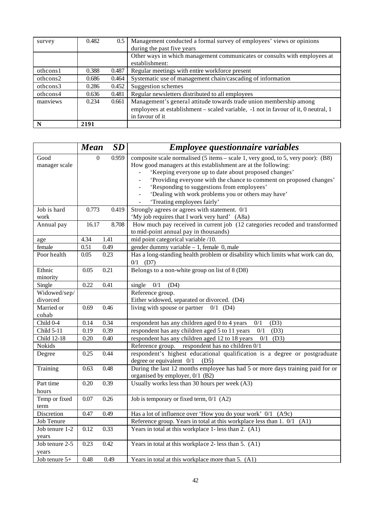| survey   | 0.482 | 0.5   | Management conducted a formal survey of employees' views or opinions               |
|----------|-------|-------|------------------------------------------------------------------------------------|
|          |       |       | during the past five years                                                         |
|          |       |       | Other ways in which management communicates or consults with employees at          |
|          |       |       | establishment:                                                                     |
| othcons1 | 0.388 | 0.487 | Regular meetings with entire workforce present                                     |
| othcons2 | 0.686 | 0.464 | Systematic use of management chain/cascading of information                        |
| othcons3 | 0.286 | 0.452 | Suggestion schemes                                                                 |
| othcons4 | 0.636 | 0.481 | Regular newsletters distributed to all employees                                   |
| manviews | 0.234 | 0.661 | Management's general attitude towards trade union membership among                 |
|          |       |       | employees at establishment – scaled variable, -1 not in favour of it, 0 neutral, 1 |
|          |       |       | in favour of it                                                                    |
| N        | 2191  |       |                                                                                    |

|                    | <b>Mean</b> | <b>SD</b> | <b>Employee questionnaire variables</b>                                          |
|--------------------|-------------|-----------|----------------------------------------------------------------------------------|
| Good               | 0           | 0.959     | composite scale normalised (5 items – scale 1, very good, to 5, very poor): (B8) |
| manager scale      |             |           | How good managers at this establishment are at the following:                    |
|                    |             |           | 'Keeping everyone up to date about proposed changes'                             |
|                    |             |           | 'Providing everyone with the chance to comment on proposed changes'              |
|                    |             |           | 'Responding to suggestions from employees'                                       |
|                    |             |           | 'Dealing with work problems you or others may have'                              |
|                    |             |           | 'Treating employees fairly'                                                      |
| Job is hard        | 0.773       | 0.419     | Strongly agrees or agrees with statement. 0/1                                    |
| work               |             |           | 'My job requires that I work very hard' (A8a)                                    |
| Annual pay         | 16.17       | 8.708     | How much pay received in current job (12 categories recoded and transformed      |
|                    |             |           | to mid-point annual pay in thousands)                                            |
| age                | 4.34        | 1.41      | mid point categorical variable /10.                                              |
| female             | 0.51        | 0.49      | gender dummy variable - 1, female 0, male                                        |
| Poor health        | 0.05        | 0.23      | Has a long-standing health problem or disability which limits what work can do,  |
|                    |             |           | $0/1$ (D7)                                                                       |
| Ethnic             | 0.05        | 0.21      | Belongs to a non-white group on list of 8 (D8)                                   |
| minority           |             |           |                                                                                  |
| Single             | 0.22        | 0.41      | single<br>0/1<br>(D4)                                                            |
| Widowed/sep/       |             |           | Reference group.                                                                 |
| divorced           |             |           | Either widowed, separated or divorced. (D4)                                      |
| Married or         | 0.69        | 0.46      | living with spouse or partner<br>$0/1$ (D4)                                      |
| cohab              |             |           |                                                                                  |
| Child 0-4          | 0.14        | 0.34      | respondent has any children aged 0 to 4 years<br>0/1<br>(D3)                     |
| Child 5-11         | 0.19        | 0.39      | respondent has any children aged 5 to 11 years<br>0/1<br>(D3)                    |
| <b>Child 12-18</b> | 0.20        | 0.40      | respondent has any children aged 12 to 18 years<br>$0/1$ (D3)                    |
| Nokids             |             |           | Reference group. respondent has no children 0/1                                  |
| Degree             | 0.25        | 0.44      | respondent's highest educational qualification is a degree or postgraduate       |
|                    |             |           | degree or equivalent $0/1$ (D5)                                                  |
| Training           | 0.63        | 0.48      | During the last 12 months employee has had 5 or more days training paid for or   |
|                    |             |           | organised by employer, 0/1 (B2)                                                  |
| Part time          | 0.20        | 0.39      | Usually works less than 30 hours per week (A3)                                   |
| hours              |             |           |                                                                                  |
| Temp or fixed      | 0.07        | 0.26      | Job is temporary or fixed term, 0/1 (A2)                                         |
| term               |             |           |                                                                                  |
| Discretion         | 0.47        | 0.49      | Has a lot of influence over 'How you do your work' 0/1 (A9c)                     |
| <b>Job Tenure</b>  |             |           | Reference group. Years in total at this workplace less than 1. 0/1 (A1)          |
| Job tenure 1-2     | 0.12        | 0.33      | Years in total at this workplace 1-less than 2. (A1)                             |
| years              |             |           |                                                                                  |
| Job tenure 2-5     | 0.23        | 0.42      | Years in total at this workplace 2- less than 5. (A1)                            |
| years              |             |           |                                                                                  |
| Job tenure 5+      | 0.48        | 0.49      | Years in total at this workplace more than 5. (A1)                               |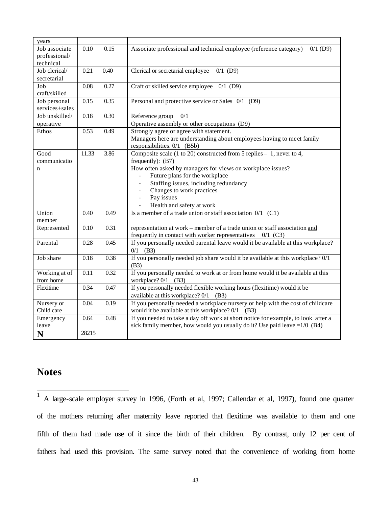| years          |       |      |                                                                                   |
|----------------|-------|------|-----------------------------------------------------------------------------------|
| Job associate  | 0.10  | 0.15 | Associate professional and technical employee (reference category)<br>$0/1$ (D9)  |
| professional/  |       |      |                                                                                   |
| technical      |       |      |                                                                                   |
| Job clerical/  | 0.21  | 0.40 | $0/1$ (D9)<br>Clerical or secretarial employee                                    |
| secretarial    |       |      |                                                                                   |
| Job            | 0.08  | 0.27 | Craft or skilled service employee $0/1$ (D9)                                      |
| craft/skilled  |       |      |                                                                                   |
| Job personal   | 0.15  | 0.35 | Personal and protective service or Sales 0/1 (D9)                                 |
| services+sales |       |      |                                                                                   |
| Job unskilled/ | 0.18  | 0.30 | Reference group<br>0/1                                                            |
| operative      |       |      | Operative assembly or other occupations (D9)                                      |
| Ethos          | 0.53  | 0.49 | Strongly agree or agree with statement.                                           |
|                |       |      | Managers here are understanding about employees having to meet family             |
|                |       |      | responsibilities. 0/1 (B5b)                                                       |
| Good           | 11.33 | 3.86 | Composite scale (1 to 20) constructed from 5 replies – 1, never to 4,             |
| communicatio   |       |      | frequently): $(B7)$                                                               |
| n              |       |      | How often asked by managers for views on workplace issues?                        |
|                |       |      | Future plans for the workplace                                                    |
|                |       |      | Staffing issues, including redundancy                                             |
|                |       |      | Changes to work practices                                                         |
|                |       |      | Pay issues<br>$\overline{\phantom{a}}$                                            |
|                |       |      | Health and safety at work                                                         |
| Union          | 0.40  | 0.49 | Is a member of a trade union or staff association $0/1$ (C1)                      |
| member         |       |      |                                                                                   |
| Represented    | 0.10  | 0.31 | representation at work – member of a trade union or staff association and         |
|                |       |      | frequently in contact with worker representatives<br>$0/1$ (C3)                   |
| Parental       | 0.28  | 0.45 | If you personally needed parental leave would it be available at this workplace?  |
|                |       |      | $0/1$ (B3)                                                                        |
| Job share      | 0.18  | 0.38 | If you personally needed job share would it be available at this workplace? 0/1   |
|                |       |      | (B3)                                                                              |
| Working at of  | 0.11  | 0.32 | If you personally needed to work at or from home would it be available at this    |
| from home      |       |      | workplace? 0/1<br>(B3)                                                            |
| Flexitime      | 0.34  | 0.47 | If you personally needed flexible working hours (flexitime) would it be           |
|                |       |      | available at this workplace? 0/1<br>(B3)                                          |
| Nursery or     | 0.04  | 0.19 | If you personally needed a workplace nursery or help with the cost of childcare   |
| Child care     |       |      | would it be available at this workplace? $0/1$ (B3)                               |
| Emergency      | 0.64  | 0.48 | If you needed to take a day off work at short notice for example, to look after a |
| leave          |       |      | sick family member, how would you usually do it? Use paid leave $=1/0$ (B4)       |
| N              | 28215 |      |                                                                                   |

## **Notes**

l

1 A large-scale employer survey in 1996, (Forth et al, 1997; Callendar et al, 1997), found one quarter of the mothers returning after maternity leave reported that flexitime was available to them and one fifth of them had made use of it since the birth of their children. By contrast, only 12 per cent of fathers had used this provision. The same survey noted that the convenience of working from home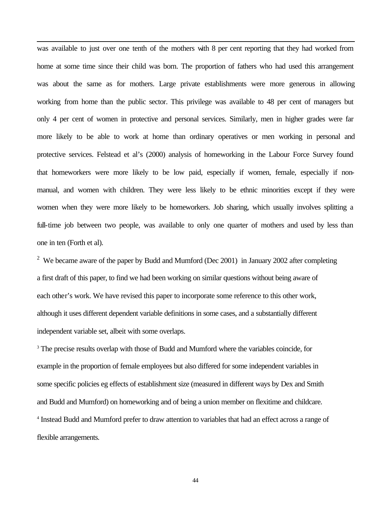was available to just over one tenth of the mothers with 8 per cent reporting that they had worked from home at some time since their child was born. The proportion of fathers who had used this arrangement was about the same as for mothers. Large private establishments were more generous in allowing working from home than the public sector. This privilege was available to 48 per cent of managers but only 4 per cent of women in protective and personal services. Similarly, men in higher grades were far more likely to be able to work at home than ordinary operatives or men working in personal and protective services. Felstead et al's (2000) analysis of homeworking in the Labour Force Survey found that homeworkers were more likely to be low paid, especially if women, female, especially if nonmanual, and women with children. They were less likely to be ethnic minorities except if they were women when they were more likely to be homeworkers. Job sharing, which usually involves splitting a full-time job between two people, was available to only one quarter of mothers and used by less than one in ten (Forth et al).

l

<sup>2</sup> We became aware of the paper by Budd and Mumford (Dec 2001) in January 2002 after completing a first draft of this paper, to find we had been working on similar questions without being aware of each other's work. We have revised this paper to incorporate some reference to this other work, although it uses different dependent variable definitions in some cases, and a substantially different independent variable set, albeit with some overlaps.

<sup>3</sup> The precise results overlap with those of Budd and Mumford where the variables coincide, for example in the proportion of female employees but also differed for some independent variables in some specific policies eg effects of establishment size (measured in different ways by Dex and Smith and Budd and Mumford) on homeworking and of being a union member on flexitime and childcare. <sup>4</sup> Instead Budd and Mumford prefer to draw attention to variables that had an effect across a range of flexible arrangements.

44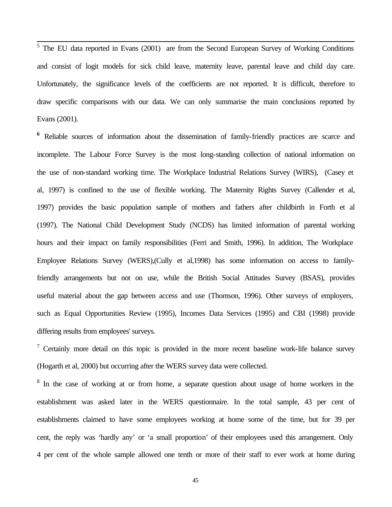<sup>5</sup> The EU data reported in Evans (2001) are from the Second European Survey of Working Conditions and consist of logit models for sick child leave, maternity leave, parental leave and child day care. Unfortunately, the significance levels of the coefficients are not reported. It is difficult, therefore to draw specific comparisons with our data. We can only summarise the main conclusions reported by Evans (2001).

<sup>6</sup> Reliable sources of information about the dissemination of family-friendly practices are scarce and incomplete. The Labour Force Survey is the most long-standing collection of national information on the use of non-standard working time. The Workplace Industrial Relations Survey (WIRS), (Casey et al, 1997) is confined to the use of flexible working. The Maternity Rights Survey (Callender et al, 1997) provides the basic population sample of mothers and fathers after childbirth in Forth et al (1997). The National Child Development Study (NCDS) has limited information of parental working hours and their impact on family responsibilities (Ferri and Smith, 1996). In addition, The Workplace Employee Relations Survey (WERS),(Cully et al,1998) has some information on access to familyfriendly arrangements but not on use, while the British Social Attitudes Survey (BSAS), provides useful material about the gap between access and use (Thomson, 1996). Other surveys of employers, such as Equal Opportunities Review (1995), Incomes Data Services (1995) and CBI (1998) provide differing results from employees' surveys.

<sup>7</sup> Certainly more detail on this topic is provided in the more recent baseline work-life balance survey (Hogarth et al, 2000) but occurring after the WERS survey data were collected.

<sup>8</sup> In the case of working at or from home, a separate question about usage of home workers in the establishment was asked later in the WERS questionnaire. In the total sample, 43 per cent of establishments claimed to have some employees working at home some of the time, but for 39 per cent, the reply was 'hardly any' or 'a small proportion' of their employees used this arrangement. Only 4 per cent of the whole sample allowed one tenth or more of their staff to ever work at home during